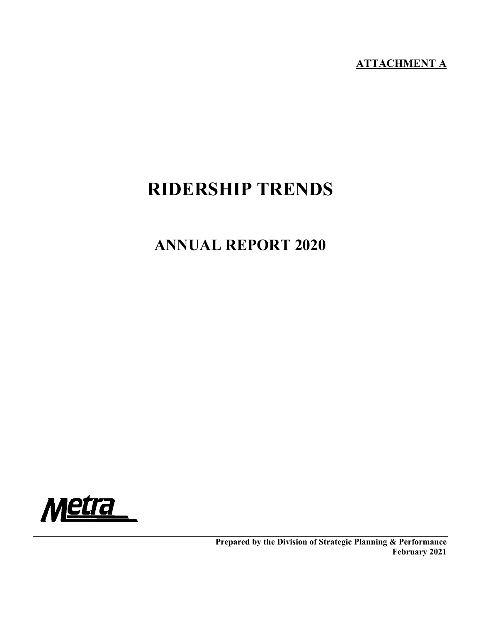# **ATTACHMENT A**

# **RIDERSHIP TRENDS**

# **ANNUAL REPORT 2020**



**Prepared by the Division of Strategic Planning & Performance February 2021**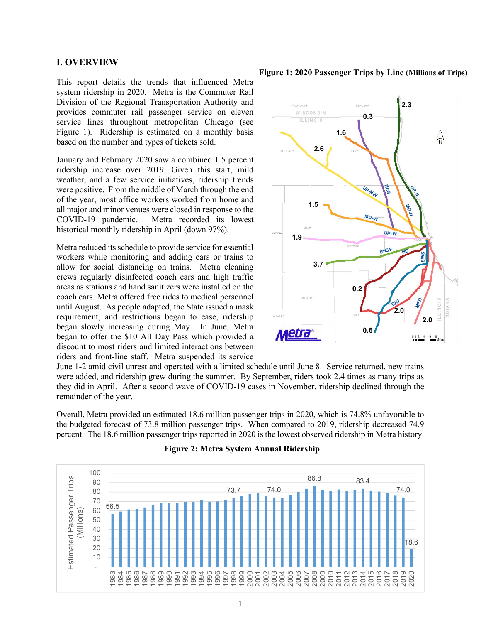#### **I. OVERVIEW**

This report details the trends that influenced Metra system ridership in 2020. Metra is the Commuter Rail Division of the Regional Transportation Authority and provides commuter rail passenger service on eleven service lines throughout metropolitan Chicago (see Figure 1). Ridership is estimated on a monthly basis based on the number and types of tickets sold.

January and February 2020 saw a combined 1.5 percent ridership increase over 2019. Given this start, mild weather, and a few service initiatives, ridership trends were positive. From the middle of March through the end of the year, most office workers worked from home and all major and minor venues were closed in response to the COVID-19 pandemic. Metra recorded its lowest historical monthly ridership in April (down 97%).

Metra reduced its schedule to provide service for essential workers while monitoring and adding cars or trains to allow for social distancing on trains. Metra cleaning crews regularly disinfected coach cars and high traffic areas as stations and hand sanitizers were installed on the coach cars. Metra offered free rides to medical personnel until August. As people adapted, the State issued a mask requirement, and restrictions began to ease, ridership began slowly increasing during May. In June, Metra began to offer the \$10 All Day Pass which provided a discount to most riders and limited interactions between riders and front-line staff. Metra suspended its service

**Figure 1: 2020 Passenger Trips by Line (Millions of Trips)**



June 1-2 amid civil unrest and operated with a limited schedule until June 8. Service returned, new trains were added, and ridership grew during the summer. By September, riders took 2.4 times as many trips as they did in April. After a second wave of COVID-19 cases in November, ridership declined through the remainder of the year.

Overall, Metra provided an estimated 18.6 million passenger trips in 2020, which is 74.8% unfavorable to the budgeted forecast of 73.8 million passenger trips. When compared to 2019, ridership decreased 74.9 percent. The 18.6 million passenger trips reported in 2020 is the lowest observed ridership in Metra history.



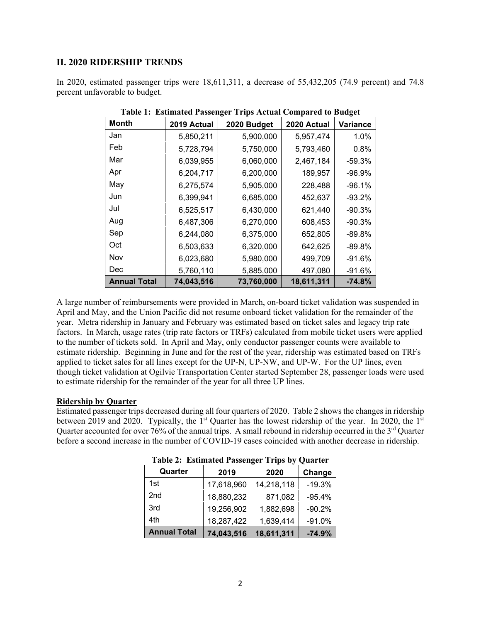## **II. 2020 RIDERSHIP TRENDS**

In 2020, estimated passenger trips were 18,611,311, a decrease of 55,432,205 (74.9 percent) and 74.8 percent unfavorable to budget.

| <b>Month</b>        | 2019 Actual | 2020 Budget | 2020 Actual | <b>Variance</b> |
|---------------------|-------------|-------------|-------------|-----------------|
| Jan                 | 5,850,211   | 5,900,000   | 5,957,474   | 1.0%            |
| Feb                 | 5,728,794   | 5,750,000   | 5,793,460   | 0.8%            |
| Mar                 | 6,039,955   | 6,060,000   | 2,467,184   | $-59.3%$        |
| Apr                 | 6,204,717   | 6,200,000   | 189,957     | $-96.9%$        |
| May                 | 6,275,574   | 5,905,000   | 228,488     | $-96.1%$        |
| Jun                 | 6,399,941   | 6,685,000   | 452,637     | $-93.2%$        |
| Jul                 | 6,525,517   | 6,430,000   | 621,440     | $-90.3%$        |
| Aug                 | 6,487,306   | 6,270,000   | 608,453     | $-90.3%$        |
| Sep                 | 6,244,080   | 6,375,000   | 652,805     | $-89.8%$        |
| Oct                 | 6,503,633   | 6,320,000   | 642,625     | $-89.8%$        |
| Nov                 | 6,023,680   | 5,980,000   | 499,709     | $-91.6%$        |
| Dec                 | 5,760,110   | 5,885,000   | 497,080     | $-91.6%$        |
| <b>Annual Total</b> | 74,043,516  | 73,760,000  | 18,611,311  | $-74.8%$        |

**Table 1: Estimated Passenger Trips Actual Compared to Budget** 

A large number of reimbursements were provided in March, on-board ticket validation was suspended in April and May, and the Union Pacific did not resume onboard ticket validation for the remainder of the year. Metra ridership in January and February was estimated based on ticket sales and legacy trip rate factors. In March, usage rates (trip rate factors or TRFs) calculated from mobile ticket users were applied to the number of tickets sold. In April and May, only conductor passenger counts were available to estimate ridership. Beginning in June and for the rest of the year, ridership was estimated based on TRFs applied to ticket sales for all lines except for the UP-N, UP-NW, and UP-W. For the UP lines, even though ticket validation at Ogilvie Transportation Center started September 28, passenger loads were used to estimate ridership for the remainder of the year for all three UP lines.

#### **Ridership by Quarter**

Estimated passenger trips decreased during all four quarters of 2020. Table 2 shows the changes in ridership between 2019 and 2020. Typically, the  $1<sup>st</sup>$  Quarter has the lowest ridership of the year. In 2020, the  $1<sup>st</sup>$ Quarter accounted for over 76% of the annual trips. A small rebound in ridership occurred in the  $3<sup>rd</sup>$  Quarter before a second increase in the number of COVID-19 cases coincided with another decrease in ridership.

| Quarter             | 2019       | 2020       | Change   |
|---------------------|------------|------------|----------|
| 1st                 | 17,618,960 | 14,218,118 | $-19.3%$ |
| 2 <sub>nd</sub>     | 18,880,232 | 871,082    | $-95.4%$ |
| 3rd                 | 19,256,902 | 1,882,698  | $-90.2%$ |
| 4th                 | 18,287,422 | 1,639,414  | $-91.0%$ |
| <b>Annual Total</b> | 74,043,516 | 18,611,311 | $-74.9%$ |

**Table 2: Estimated Passenger Trips by Quarter**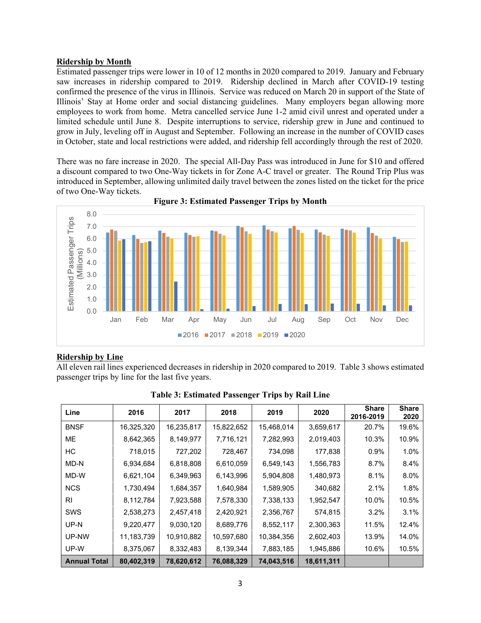#### **Ridership by Month**

Estimated passenger trips were lower in 10 of 12 months in 2020 compared to 2019. January and February saw increases in ridership compared to 2019. Ridership declined in March after COVID-19 testing confirmed the presence of the virus in Illinois. Service was reduced on March 20 in support of the State of Illinois' Stay at Home order and social distancing guidelines. Many employers began allowing more employees to work from home. Metra cancelled service June 1-2 amid civil unrest and operated under a limited schedule until June 8. Despite interruptions to service, ridership grew in June and continued to grow in July, leveling off in August and September. Following an increase in the number of COVID cases in October, state and local restrictions were added, and ridership fell accordingly through the rest of 2020.

There was no fare increase in 2020. The special All-Day Pass was introduced in June for \$10 and offered a discount compared to two One-Way tickets in for Zone A-C travel or greater. The Round Trip Plus was introduced in September, allowing unlimited daily travel between the zones listed on the ticket for the price of two One-Way tickets.



**Figure 3: Estimated Passenger Trips by Month**

#### **Ridership by Line**

All eleven rail lines experienced decreases in ridership in 2020 compared to 2019. Table 3 shows estimated passenger trips by line for the last five years.

| Line                | 2016       | 2017       | 2018       | 2019       | 2020       | <b>Share</b><br>2016-2019 | <b>Share</b><br>2020 |
|---------------------|------------|------------|------------|------------|------------|---------------------------|----------------------|
| <b>BNSF</b>         | 16,325,320 | 16,235,817 | 15,822,652 | 15,468,014 | 3,659,617  | 20.7%                     | 19.6%                |
| <b>ME</b>           | 8,642,365  | 8,149,977  | 7,716,121  | 7,282,993  | 2,019,403  | 10.3%                     | 10.9%                |
| HС                  | 718,015    | 727,202    | 728,467    | 734,098    | 177,838    | 0.9%                      | 1.0%                 |
| MD-N                | 6,934,684  | 6,818,808  | 6,610,059  | 6,549,143  | 1,556,783  | 8.7%                      | 8.4%                 |
| MD-W                | 6,621,104  | 6,349,963  | 6,143,996  | 5,904,808  | 1,480,973  | 8.1%                      | 8.0%                 |
| <b>NCS</b>          | 1,730,494  | 1,684,357  | 1,640,984  | 1,589,905  | 340,682    | 2.1%                      | 1.8%                 |
| RI.                 | 8,112,784  | 7,923,588  | 7,578,330  | 7,338,133  | 1,952,547  | 10.0%                     | 10.5%                |
| <b>SWS</b>          | 2,538,273  | 2,457,418  | 2,420,921  | 2,356,767  | 574,815    | 3.2%                      | 3.1%                 |
| UP-N                | 9,220,477  | 9,030,120  | 8,689,776  | 8,552,117  | 2,300,363  | 11.5%                     | 12.4%                |
| UP-NW               | 11,183,739 | 10,910,882 | 10,597,680 | 10,384,356 | 2,602,403  | 13.9%                     | 14.0%                |
| UP-W                | 8,375,067  | 8,332,483  | 8,139,344  | 7,883,185  | 1,945,886  | 10.6%                     | 10.5%                |
| <b>Annual Total</b> | 80,402,319 | 78,620,612 | 76,088,329 | 74,043,516 | 18,611,311 |                           |                      |

**Table 3: Estimated Passenger Trips by Rail Line**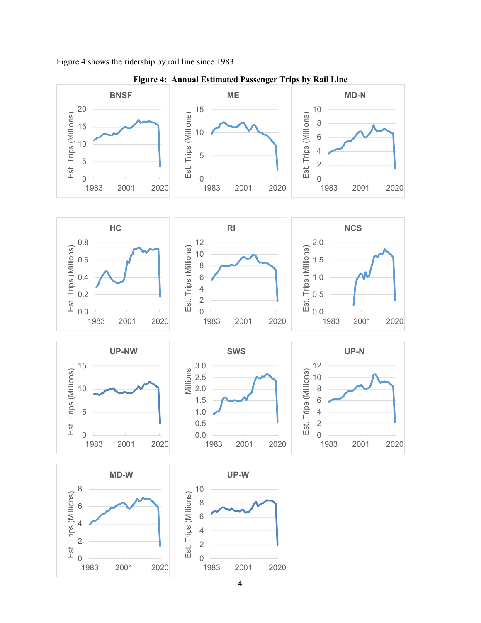Figure 4 shows the ridership by rail line since 1983.



**Figure 4: Annual Estimated Passenger Trips by Rail Line**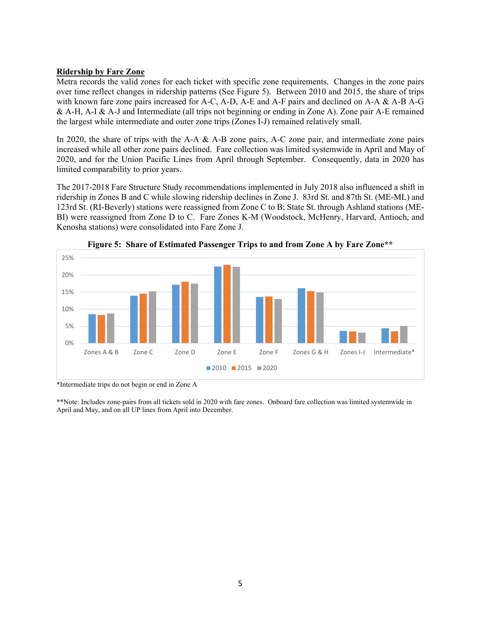#### **Ridership by Fare Zone**

Metra records the valid zones for each ticket with specific zone requirements. Changes in the zone pairs over time reflect changes in ridership patterns (See Figure 5). Between 2010 and 2015, the share of trips with known fare zone pairs increased for A-C, A-D, A-E and A-F pairs and declined on A-A & A-B A-G & A-H, A-I & A-J and Intermediate (all trips not beginning or ending in Zone A). Zone pair A-E remained the largest while intermediate and outer zone trips (Zones I-J) remained relatively small.

In 2020, the share of trips with the A-A & A-B zone pairs, A-C zone pair, and intermediate zone pairs increased while all other zone pairs declined. Fare collection was limited systemwide in April and May of 2020, and for the Union Pacific Lines from April through September. Consequently, data in 2020 has limited comparability to prior years.

The 2017-2018 Fare Structure Study recommendations implemented in July 2018 also influenced a shift in ridership in Zones B and C while slowing ridership declines in Zone J. 83rd St. and 87th St. (ME-ML) and 123rd St. (RI-Beverly) stations were reassigned from Zone C to B; State St. through Ashland stations (ME-BI) were reassigned from Zone D to C. Fare Zones K-M (Woodstock, McHenry, Harvard, Antioch, and Kenosha stations) were consolidated into Fare Zone J.





\*Intermediate trips do not begin or end in Zone A

\*\*Note: Includes zone-pairs from all tickets sold in 2020 with fare zones. Onboard fare collection was limited systemwide in April and May, and on all UP lines from April into December.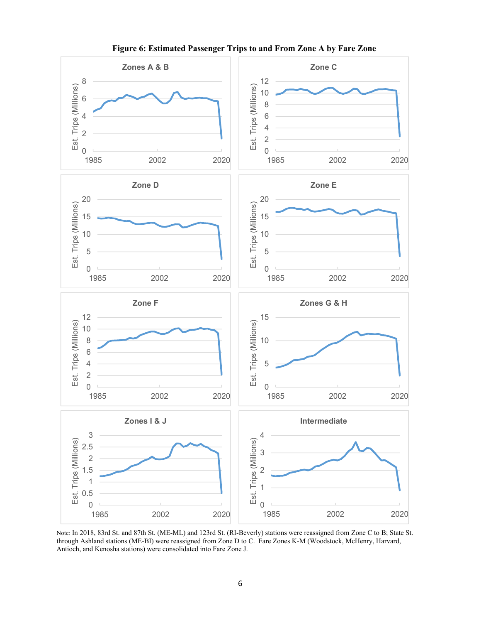

**Figure 6: Estimated Passenger Trips to and From Zone A by Fare Zone** 

Note: In 2018, 83rd St. and 87th St. (ME-ML) and 123rd St. (RI-Beverly) stations were reassigned from Zone C to B; State St. through Ashland stations (ME-BI) were reassigned from Zone D to C. Fare Zones K-M (Woodstock, McHenry, Harvard, Antioch, and Kenosha stations) were consolidated into Fare Zone J.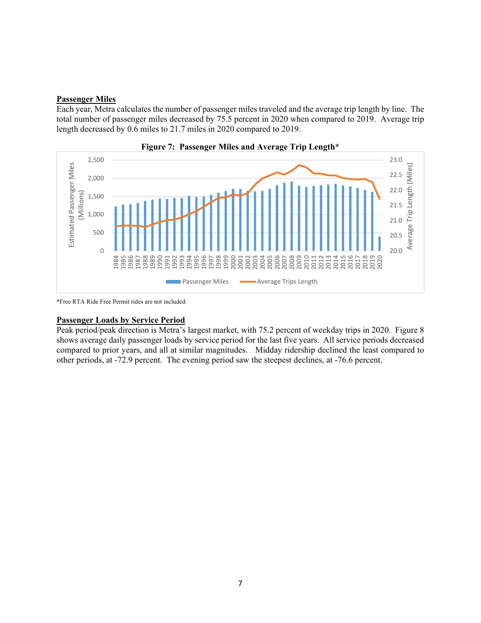### **Passenger Miles**

Each year, Metra calculates the number of passenger miles traveled and the average trip length by line. The total number of passenger miles decreased by 75.5 percent in 2020 when compared to 2019. Average trip length decreased by 0.6 miles to 21.7 miles in 2020 compared to 2019.





\*Free RTA Ride Free Permit rides are not included.

#### **Passenger Loads by Service Period**

Peak period/peak direction is Metra's largest market, with 75.2 percent of weekday trips in 2020. Figure 8 shows average daily passenger loads by service period for the last five years. All service periods decreased compared to prior years, and all at similar magnitudes. Midday ridership declined the least compared to other periods, at -72.9 percent. The evening period saw the steepest declines, at -76.6 percent.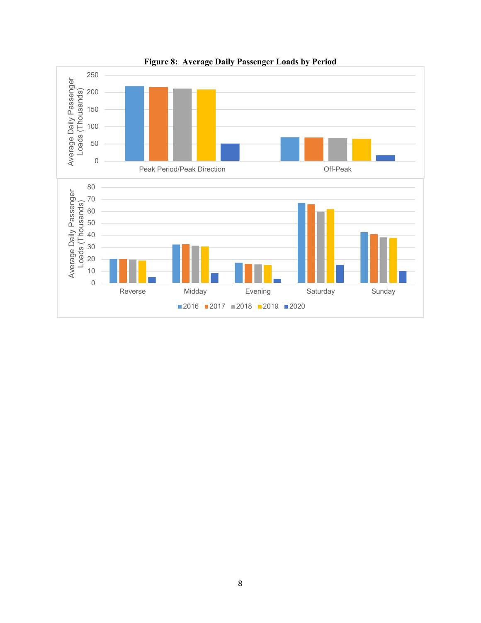

**Figure 8: Average Daily Passenger Loads by Period**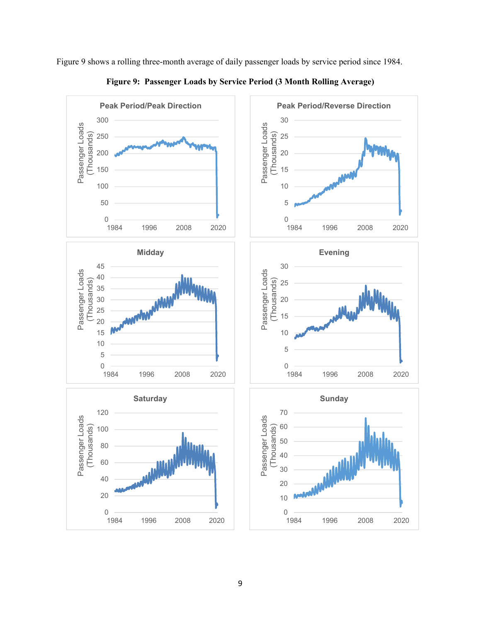

Figure 9 shows a rolling three-month average of daily passenger loads by service period since 1984.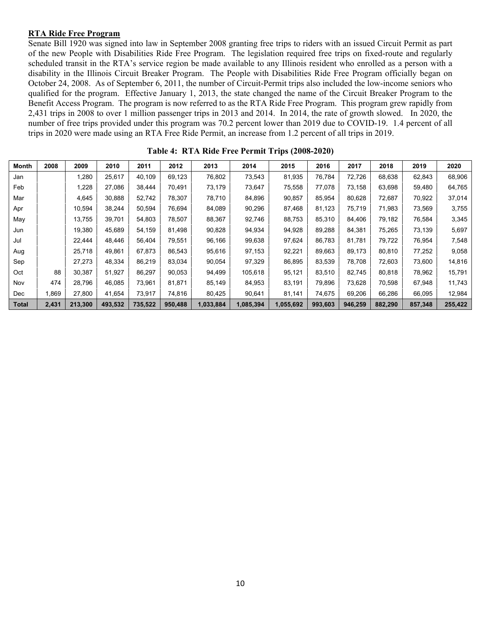#### **RTA Ride Free Program**

Senate Bill 1920 was signed into law in September 2008 granting free trips to riders with an issued Circuit Permit as part of the new People with Disabilities Ride Free Program. The legislation required free trips on fixed-route and regularly scheduled transit in the RTA's service region be made available to any Illinois resident who enrolled as a person with a disability in the Illinois Circuit Breaker Program. The People with Disabilities Ride Free Program officially began on October 24, 2008. As of September 6, 2011, the number of Circuit-Permit trips also included the low-income seniors who qualified for the program. Effective January 1, 2013, the state changed the name of the Circuit Breaker Program to the Benefit Access Program. The program is now referred to as the RTA Ride Free Program. This program grew rapidly from 2,431 trips in 2008 to over 1 million passenger trips in 2013 and 2014. In 2014, the rate of growth slowed. In 2020, the number of free trips provided under this program was 70.2 percent lower than 2019 due to COVID-19. 1.4 percent of all trips in 2020 were made using an RTA Free Ride Permit, an increase from 1.2 percent of all trips in 2019.

| <b>Month</b> | 2008  | 2009    | 2010    | 2011    | 2012    | 2013      | 2014      | 2015      | 2016    | 2017    | 2018    | 2019    | 2020    |
|--------------|-------|---------|---------|---------|---------|-----------|-----------|-----------|---------|---------|---------|---------|---------|
| Jan          |       | 1,280   | 25,617  | 40,109  | 69,123  | 76,802    | 73,543    | 81,935    | 76,784  | 72,726  | 68,638  | 62,843  | 68,906  |
| Feb          |       | 1,228   | 27,086  | 38,444  | 70.491  | 73,179    | 73,647    | 75,558    | 77,078  | 73,158  | 63,698  | 59,480  | 64,765  |
| Mar          |       | 4,645   | 30,888  | 52.742  | 78.307  | 78,710    | 84,896    | 90,857    | 85,954  | 80,628  | 72.687  | 70,922  | 37,014  |
| Apr          |       | 10,594  | 38,244  | 50,594  | 76,694  | 84,089    | 90,296    | 87,468    | 81,123  | 75,719  | 71,983  | 73,569  | 3,755   |
| May          |       | 13.755  | 39.701  | 54.803  | 78.507  | 88,367    | 92.746    | 88.753    | 85.310  | 84.406  | 79.182  | 76,584  | 3,345   |
| Jun          |       | 19,380  | 45,689  | 54,159  | 81,498  | 90,828    | 94,934    | 94,928    | 89,288  | 84,381  | 75,265  | 73,139  | 5,697   |
| Jul          |       | 22.444  | 48.446  | 56,404  | 79,551  | 96,166    | 99,638    | 97,624    | 86,783  | 81.781  | 79,722  | 76,954  | 7,548   |
| Aug          |       | 25,718  | 49.861  | 67.873  | 86,543  | 95,616    | 97,153    | 92,221    | 89,663  | 89.173  | 80,810  | 77,252  | 9,058   |
| Sep          |       | 27,273  | 48,334  | 86,219  | 83,034  | 90,054    | 97,329    | 86,895    | 83,539  | 78,708  | 72,603  | 73,600  | 14,816  |
| Oct          | 88    | 30.387  | 51,927  | 86.297  | 90.053  | 94,499    | 105.618   | 95.121    | 83.510  | 82.745  | 80.818  | 78.962  | 15,791  |
| Nov          | 474   | 28.796  | 46,085  | 73,961  | 81,871  | 85,149    | 84,953    | 83,191    | 79,896  | 73,628  | 70,598  | 67,948  | 11,743  |
| Dec          | .869  | 27.800  | 41,654  | 73.917  | 74,816  | 80,425    | 90,641    | 81,141    | 74,675  | 69,206  | 66,286  | 66,095  | 12,984  |
| <b>Total</b> | 2,431 | 213,300 | 493,532 | 735,522 | 950,488 | 1,033,884 | 1,085,394 | 1,055,692 | 993,603 | 946,259 | 882,290 | 857,348 | 255,422 |

**Table 4: RTA Ride Free Permit Trips (2008-2020)**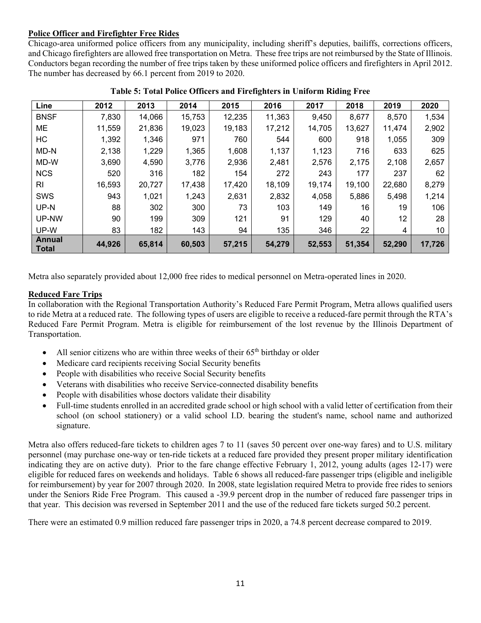# **Police Officer and Firefighter Free Rides**

Chicago-area uniformed police officers from any municipality, including sheriff's deputies, bailiffs, corrections officers, and Chicago firefighters are allowed free transportation on Metra. These free trips are not reimbursed by the State of Illinois. Conductors began recording the number of free trips taken by these uniformed police officers and firefighters in April 2012. The number has decreased by 66.1 percent from 2019 to 2020.

| Line                   | 2012   | 2013   | 2014   | 2015   | 2016   | 2017   | 2018   | 2019   | 2020   |
|------------------------|--------|--------|--------|--------|--------|--------|--------|--------|--------|
| <b>BNSF</b>            | 7,830  | 14,066 | 15,753 | 12,235 | 11,363 | 9,450  | 8,677  | 8,570  | 1,534  |
| ME                     | 11,559 | 21,836 | 19,023 | 19,183 | 17,212 | 14,705 | 13,627 | 11,474 | 2,902  |
| HC                     | 1,392  | 1,346  | 971    | 760    | 544    | 600    | 918    | 1,055  | 309    |
| MD-N                   | 2,138  | 1,229  | 1,365  | 1,608  | 1,137  | 1,123  | 716    | 633    | 625    |
| MD-W                   | 3,690  | 4,590  | 3,776  | 2,936  | 2,481  | 2,576  | 2,175  | 2,108  | 2,657  |
| <b>NCS</b>             | 520    | 316    | 182    | 154    | 272    | 243    | 177    | 237    | 62     |
| RI                     | 16,593 | 20,727 | 17,438 | 17,420 | 18,109 | 19,174 | 19,100 | 22,680 | 8,279  |
| <b>SWS</b>             | 943    | 1,021  | 1,243  | 2,631  | 2,832  | 4,058  | 5,886  | 5,498  | 1,214  |
| UP-N                   | 88     | 302    | 300    | 73     | 103    | 149    | 16     | 19     | 106    |
| UP-NW                  | 90     | 199    | 309    | 121    | 91     | 129    | 40     | 12     | 28     |
| UP-W                   | 83     | 182    | 143    | 94     | 135    | 346    | 22     | 4      | 10     |
| Annual<br><b>Total</b> | 44,926 | 65,814 | 60,503 | 57,215 | 54,279 | 52,553 | 51,354 | 52,290 | 17,726 |

**Table 5: Total Police Officers and Firefighters in Uniform Riding Free** 

Metra also separately provided about 12,000 free rides to medical personnel on Metra-operated lines in 2020.

# **Reduced Fare Trips**

In collaboration with the Regional Transportation Authority's Reduced Fare Permit Program, Metra allows qualified users to ride Metra at a reduced rate. The following types of users are eligible to receive a reduced-fare permit through the RTA's Reduced Fare Permit Program. Metra is eligible for reimbursement of the lost revenue by the Illinois Department of Transportation.

- All senior citizens who are within three weeks of their  $65<sup>th</sup>$  birthday or older
- Medicare card recipients receiving Social Security benefits
- People with disabilities who receive Social Security benefits
- Veterans with disabilities who receive Service-connected disability benefits
- People with disabilities whose doctors validate their disability
- Full-time students enrolled in an accredited grade school or high school with a valid letter of certification from their school (on school stationery) or a valid school I.D. bearing the student's name, school name and authorized signature.

Metra also offers reduced-fare tickets to children ages 7 to 11 (saves 50 percent over one-way fares) and to U.S. military personnel (may purchase one-way or ten-ride tickets at a reduced fare provided they present proper military identification indicating they are on active duty). Prior to the fare change effective February 1, 2012, young adults (ages 12-17) were eligible for reduced fares on weekends and holidays. Table 6 shows all reduced-fare passenger trips (eligible and ineligible for reimbursement) by year for 2007 through 2020. In 2008, state legislation required Metra to provide free rides to seniors under the Seniors Ride Free Program. This caused a -39.9 percent drop in the number of reduced fare passenger trips in that year. This decision was reversed in September 2011 and the use of the reduced fare tickets surged 50.2 percent.

There were an estimated 0.9 million reduced fare passenger trips in 2020, a 74.8 percent decrease compared to 2019.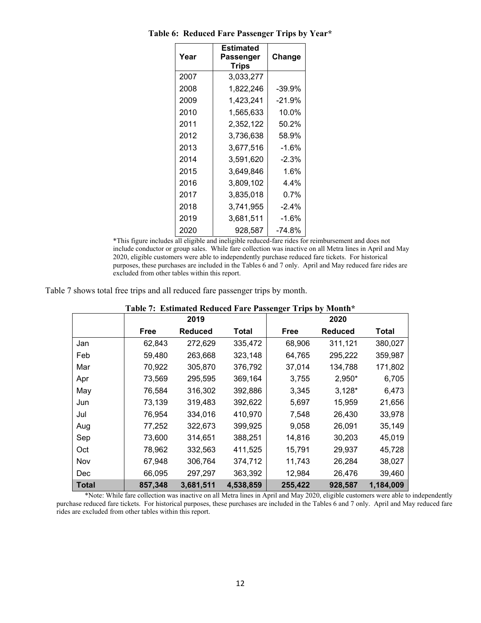| Year | Estimated<br>Passenger<br>Trips | Change   |
|------|---------------------------------|----------|
| 2007 | 3,033,277                       |          |
| 2008 | 1,822,246                       | -39.9%   |
| 2009 | 1,423,241                       | -21.9%   |
| 2010 | 1,565,633                       | 10.0%    |
| 2011 | 2,352,122                       | 50.2%    |
| 2012 | 3,736,638                       | 58.9%    |
| 2013 | 3,677,516                       | $-1.6%$  |
| 2014 | 3,591,620                       | $-2.3%$  |
| 2015 | 3,649,846                       | 1.6%     |
| 2016 | 3,809,102                       | 4.4%     |
| 2017 | 3,835,018                       | $0.7\%$  |
| 2018 | 3,741,955                       | $-2.4\%$ |
| 2019 | 3,681,511                       | $-1.6%$  |
| 2020 | 928,587                         | -74.8%   |

**Table 6: Reduced Fare Passenger Trips by Year\*** 

\*This figure includes all eligible and ineligible reduced-fare rides for reimbursement and does not include conductor or group sales. While fare collection was inactive on all Metra lines in April and May 2020, eligible customers were able to independently purchase reduced fare tickets. For historical purposes, these purchases are included in the Tables 6 and 7 only. April and May reduced fare rides are excluded from other tables within this report.

Table 7 shows total free trips and all reduced fare passenger trips by month.

|              |             | 2019           |           |             | 2020           |           |  |  |
|--------------|-------------|----------------|-----------|-------------|----------------|-----------|--|--|
|              | <b>Free</b> | <b>Reduced</b> | Total     | <b>Free</b> | <b>Reduced</b> | Total     |  |  |
| Jan          | 62,843      | 272,629        | 335,472   | 68,906      | 311,121        | 380,027   |  |  |
| Feb          | 59,480      | 263,668        | 323,148   | 64,765      | 295,222        | 359,987   |  |  |
| Mar          | 70,922      | 305,870        | 376,792   | 37,014      | 134,788        | 171,802   |  |  |
| Apr          | 73,569      | 295,595        | 369,164   | 3,755       | 2,950*         | 6,705     |  |  |
| May          | 76,584      | 316,302        | 392,886   | 3,345       | $3,128*$       | 6,473     |  |  |
| Jun          | 73,139      | 319,483        | 392,622   | 5,697       | 15,959         | 21,656    |  |  |
| Jul          | 76,954      | 334,016        | 410,970   | 7,548       | 26,430         | 33,978    |  |  |
| Aug          | 77,252      | 322,673        | 399,925   | 9,058       | 26,091         | 35,149    |  |  |
| Sep          | 73,600      | 314,651        | 388,251   | 14,816      | 30,203         | 45,019    |  |  |
| Oct          | 78,962      | 332,563        | 411,525   | 15,791      | 29,937         | 45,728    |  |  |
| Nov          | 67,948      | 306,764        | 374,712   | 11,743      | 26,284         | 38,027    |  |  |
| Dec          | 66,095      | 297,297        | 363,392   | 12,984      | 26,476         | 39,460    |  |  |
| <b>Total</b> | 857,348     | 3,681,511      | 4,538,859 | 255,422     | 928,587        | 1,184,009 |  |  |

| Table 7: Estimated Reduced Fare Passenger Trips by Month* |  |  |  |
|-----------------------------------------------------------|--|--|--|
|                                                           |  |  |  |

\*Note: While fare collection was inactive on all Metra lines in April and May 2020, eligible customers were able to independently purchase reduced fare tickets. For historical purposes, these purchases are included in the Tables 6 and 7 only. April and May reduced fare rides are excluded from other tables within this report.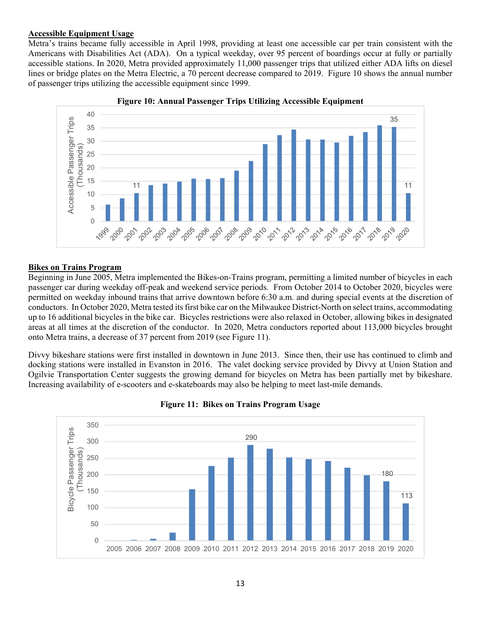#### **Accessible Equipment Usage**

Metra's trains became fully accessible in April 1998, providing at least one accessible car per train consistent with the Americans with Disabilities Act (ADA). On a typical weekday, over 95 percent of boardings occur at fully or partially accessible stations. In 2020, Metra provided approximately 11,000 passenger trips that utilized either ADA lifts on diesel lines or bridge plates on the Metra Electric, a 70 percent decrease compared to 2019. Figure 10 shows the annual number of passenger trips utilizing the accessible equipment since 1999.





#### **Bikes on Trains Program**

Beginning in June 2005, Metra implemented the Bikes-on-Trains program, permitting a limited number of bicycles in each passenger car during weekday off-peak and weekend service periods. From October 2014 to October 2020, bicycles were permitted on weekday inbound trains that arrive downtown before 6:30 a.m. and during special events at the discretion of conductors. In October 2020, Metra tested its first bike car on the Milwaukee District-North on select trains, accommodating up to 16 additional bicycles in the bike car. Bicycles restrictions were also relaxed in October, allowing bikes in designated areas at all times at the discretion of the conductor. In 2020, Metra conductors reported about 113,000 bicycles brought onto Metra trains, a decrease of 37 percent from 2019 (see Figure 11).

Divvy bikeshare stations were first installed in downtown in June 2013. Since then, their use has continued to climb and docking stations were installed in Evanston in 2016. The valet docking service provided by Divvy at Union Station and Ogilvie Transportation Center suggests the growing demand for bicycles on Metra has been partially met by bikeshare. Increasing availability of e-scooters and e-skateboards may also be helping to meet last-mile demands.



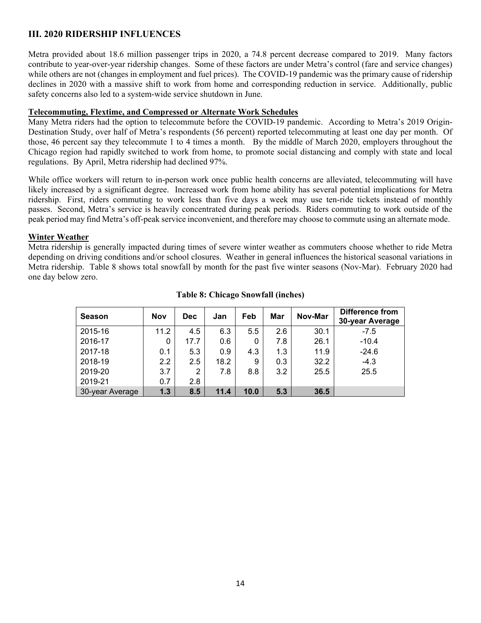# **III. 2020 RIDERSHIP INFLUENCES**

Metra provided about 18.6 million passenger trips in 2020, a 74.8 percent decrease compared to 2019. Many factors contribute to year-over-year ridership changes. Some of these factors are under Metra's control (fare and service changes) while others are not (changes in employment and fuel prices). The COVID-19 pandemic was the primary cause of ridership declines in 2020 with a massive shift to work from home and corresponding reduction in service. Additionally, public safety concerns also led to a system-wide service shutdown in June.

### **Telecommuting, Flextime, and Compressed or Alternate Work Schedules**

Many Metra riders had the option to telecommute before the COVID-19 pandemic. According to Metra's 2019 Origin-Destination Study, over half of Metra's respondents (56 percent) reported telecommuting at least one day per month. Of those, 46 percent say they telecommute 1 to 4 times a month. By the middle of March 2020, employers throughout the Chicago region had rapidly switched to work from home, to promote social distancing and comply with state and local regulations. By April, Metra ridership had declined 97%.

While office workers will return to in-person work once public health concerns are alleviated, telecommuting will have likely increased by a significant degree. Increased work from home ability has several potential implications for Metra ridership. First, riders commuting to work less than five days a week may use ten-ride tickets instead of monthly passes. Second, Metra's service is heavily concentrated during peak periods. Riders commuting to work outside of the peak period may find Metra's off-peak service inconvenient, and therefore may choose to commute using an alternate mode.

## **Winter Weather**

Metra ridership is generally impacted during times of severe winter weather as commuters choose whether to ride Metra depending on driving conditions and/or school closures. Weather in general influences the historical seasonal variations in Metra ridership. Table 8 shows total snowfall by month for the past five winter seasons (Nov-Mar). February 2020 had one day below zero.

| <b>Season</b>   | <b>Nov</b> | <b>Dec</b> | Jan  | Feb  | Mar | Nov-Mar | Difference from<br>30-year Average |
|-----------------|------------|------------|------|------|-----|---------|------------------------------------|
| 2015-16         | 11.2       | 4.5        | 6.3  | 5.5  | 2.6 | 30.1    | $-7.5$                             |
| 2016-17         | 0          | 17.7       | 0.6  | 0    | 7.8 | 26.1    | $-10.4$                            |
| 2017-18         | 0.1        | 5.3        | 0.9  | 4.3  | 1.3 | 11.9    | $-24.6$                            |
| 2018-19         | 2.2        | 2.5        | 18.2 | 9    | 0.3 | 32.2    | $-4.3$                             |
| 2019-20         | 3.7        | 2          | 7.8  | 8.8  | 3.2 | 25.5    | 25.5                               |
| 2019-21         | 0.7        | 2.8        |      |      |     |         |                                    |
| 30-year Average | 1.3        | 8.5        | 11.4 | 10.0 | 5.3 | 36.5    |                                    |

# **Table 8: Chicago Snowfall (inches)**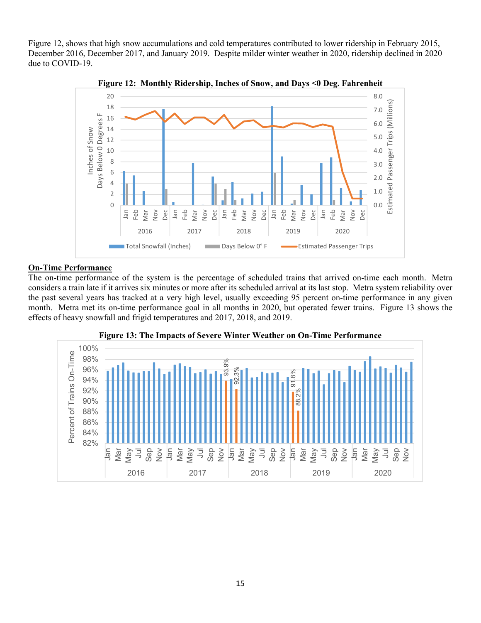Figure 12, shows that high snow accumulations and cold temperatures contributed to lower ridership in February 2015, December 2016, December 2017, and January 2019. Despite milder winter weather in 2020, ridership declined in 2020 due to COVID-19.



**Figure 12: Monthly Ridership, Inches of Snow, and Days <0 Deg. Fahrenheit** 

#### **On-Time Performance**

The on-time performance of the system is the percentage of scheduled trains that arrived on-time each month. Metra considers a train late if it arrives six minutes or more after its scheduled arrival at its last stop. Metra system reliability over the past several years has tracked at a very high level, usually exceeding 95 percent on-time performance in any given month. Metra met its on-time performance goal in all months in 2020, but operated fewer trains. Figure 13 shows the effects of heavy snowfall and frigid temperatures and 2017, 2018, and 2019.



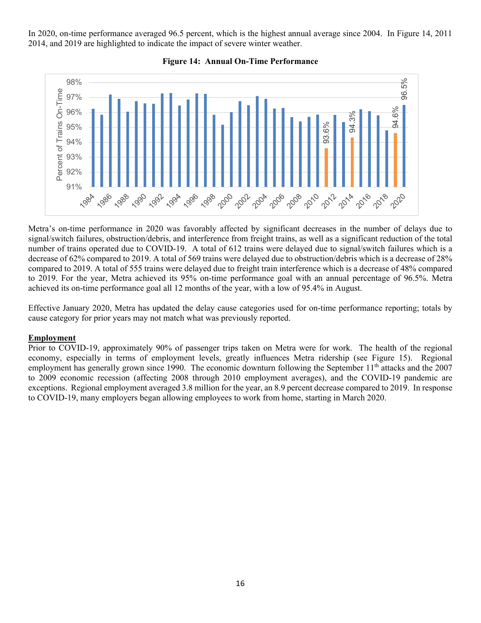In 2020, on-time performance averaged 96.5 percent, which is the highest annual average since 2004. In Figure 14, 2011 2014, and 2019 are highlighted to indicate the impact of severe winter weather.



#### **Figure 14: Annual On-Time Performance**

Metra's on-time performance in 2020 was favorably affected by significant decreases in the number of delays due to signal/switch failures, obstruction/debris, and interference from freight trains, as well as a significant reduction of the total number of trains operated due to COVID-19. A total of 612 trains were delayed due to signal/switch failures which is a decrease of 62% compared to 2019. A total of 569 trains were delayed due to obstruction/debris which is a decrease of 28% compared to 2019. A total of 555 trains were delayed due to freight train interference which is a decrease of 48% compared to 2019. For the year, Metra achieved its 95% on-time performance goal with an annual percentage of 96.5%. Metra achieved its on-time performance goal all 12 months of the year, with a low of 95.4% in August.

Effective January 2020, Metra has updated the delay cause categories used for on-time performance reporting; totals by cause category for prior years may not match what was previously reported.

#### **Employment**

Prior to COVID-19, approximately 90% of passenger trips taken on Metra were for work. The health of the regional economy, especially in terms of employment levels, greatly influences Metra ridership (see Figure 15). Regional employment has generally grown since 1990. The economic downturn following the September 11<sup>th</sup> attacks and the 2007 to 2009 economic recession (affecting 2008 through 2010 employment averages), and the COVID-19 pandemic are exceptions. Regional employment averaged 3.8 million for the year, an 8.9 percent decrease compared to 2019. In response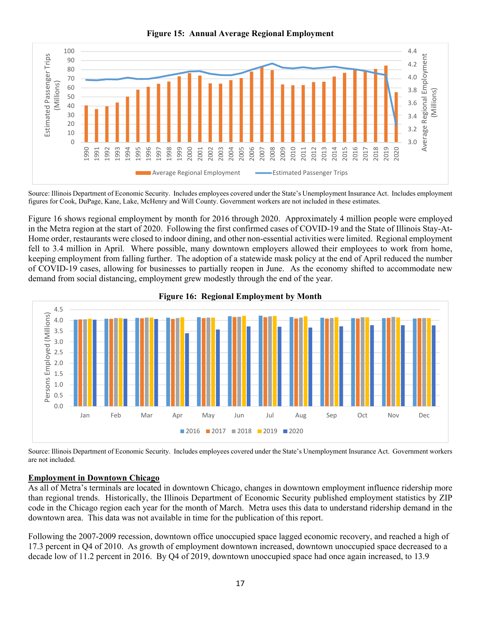**Figure 15: Annual Average Regional Employment** 



Source: Illinois Department of Economic Security. Includes employees covered under the State's Unemployment Insurance Act. Includes employment figures for Cook, DuPage, Kane, Lake, McHenry and Will County. Government workers are not included in these estimates.

Figure 16 shows regional employment by month for 2016 through 2020. Approximately 4 million people were employed in the Metra region at the start of 2020. Following the first confirmed cases of COVID-19 and the State of Illinois Stay-At-Home order, restaurants were closed to indoor dining, and other non-essential activities were limited. Regional employment fell to 3.4 million in April. Where possible, many downtown employers allowed their employees to work from home, keeping employment from falling further. The adoption of a statewide mask policy at the end of April reduced the number of COVID-19 cases, allowing for businesses to partially reopen in June. As the economy shifted to accommodate new demand from social distancing, employment grew modestly through the end of the year.





Source: Illinois Department of Economic Security. Includes employees covered under the State's Unemployment Insurance Act. Government workers are not included.

# **Employment in Downtown Chicago**

As all of Metra's terminals are located in downtown Chicago, changes in downtown employment influence ridership more than regional trends. Historically, the Illinois Department of Economic Security published employment statistics by ZIP code in the Chicago region each year for the month of March. Metra uses this data to understand ridership demand in the downtown area. This data was not available in time for the publication of this report.

Following the 2007-2009 recession, downtown office unoccupied space lagged economic recovery, and reached a high of 17.3 percent in Q4 of 2010. As growth of employment downtown increased, downtown unoccupied space decreased to a decade low of 11.2 percent in 2016. By Q4 of 2019, downtown unoccupied space had once again increased, to 13.9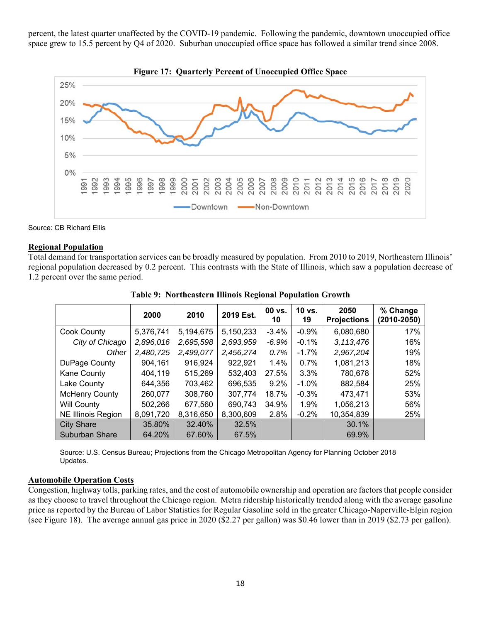percent, the latest quarter unaffected by the COVID-19 pandemic. Following the pandemic, downtown unoccupied office space grew to 15.5 percent by Q4 of 2020. Suburban unoccupied office space has followed a similar trend since 2008.



Source: CB Richard Ellis

#### **Regional Population**

Total demand for transportation services can be broadly measured by population. From 2010 to 2019, Northeastern Illinois' regional population decreased by 0.2 percent. This contrasts with the State of Illinois, which saw a population decrease of 1.2 percent over the same period.

|                           | 2000      | 2010      | 2019 Est. | 00 vs.<br>10 | 10 vs.<br>19 | 2050<br><b>Projections</b> | % Change<br>$(2010 - 2050)$ |
|---------------------------|-----------|-----------|-----------|--------------|--------------|----------------------------|-----------------------------|
| Cook County               | 5,376,741 | 5,194,675 | 5,150,233 | $-3.4%$      | $-0.9%$      | 6,080,680                  | 17%                         |
| City of Chicago           | 2,896,016 | 2,695,598 | 2,693,959 | $-6.9\%$     | $-0.1%$      | 3,113,476                  | 16%                         |
| Other                     | 2,480,725 | 2,499,077 | 2,456,274 | $0.7\%$      | $-1.7\%$     | 2,967,204                  | 19%                         |
| DuPage County             | 904,161   | 916,924   | 922,921   | $1.4\%$      | $0.7\%$      | 1,081,213                  | 18%                         |
| Kane County               | 404,119   | 515,269   | 532,403   | 27.5%        | $3.3\%$      | 780,678                    | 52%                         |
| Lake County               | 644,356   | 703,462   | 696,535   | $9.2\%$      | $-1.0\%$     | 882,584                    | 25%                         |
| <b>McHenry County</b>     | 260,077   | 308,760   | 307,774   | 18.7%        | $-0.3\%$     | 473,471                    | 53%                         |
| <b>Will County</b>        | 502,266   | 677,560   | 690,743   | 34.9%        | 1.9%         | 1,056,213                  | 56%                         |
| <b>NE Illinois Region</b> | 8,091,720 | 8,316,650 | 8,300,609 | 2.8%         | $-0.2%$      | 10,354,839                 | 25%                         |
| <b>City Share</b>         | 35.80%    | 32.40%    | 32.5%     |              |              | 30.1%                      |                             |
| <b>Suburban Share</b>     | 64.20%    | 67.60%    | 67.5%     |              |              | 69.9%                      |                             |

**Table 9: Northeastern Illinois Regional Population Growth** 

Source: U.S. Census Bureau; Projections from the Chicago Metropolitan Agency for Planning October 2018 Updates.

### **Automobile Operation Costs**

Congestion, highway tolls, parking rates, and the cost of automobile ownership and operation are factors that people consider as they choose to travel throughout the Chicago region. Metra ridership historically trended along with the average gasoline price as reported by the Bureau of Labor Statistics for Regular Gasoline sold in the greater Chicago-Naperville-Elgin region (see Figure 18). The average annual gas price in 2020 (\$2.27 per gallon) was \$0.46 lower than in 2019 (\$2.73 per gallon).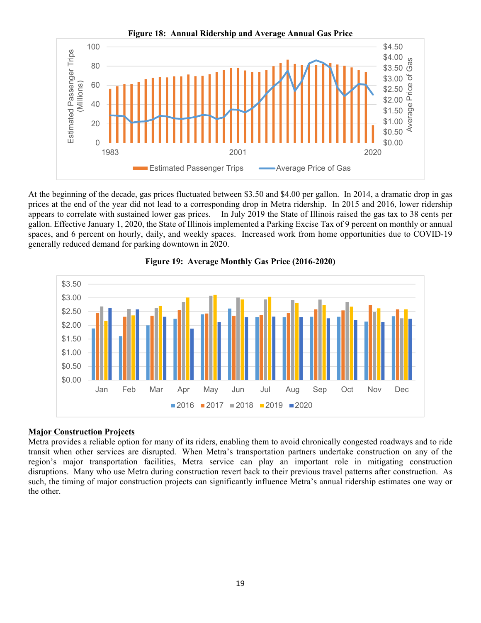

At the beginning of the decade, gas prices fluctuated between \$3.50 and \$4.00 per gallon. In 2014, a dramatic drop in gas prices at the end of the year did not lead to a corresponding drop in Metra ridership. In 2015 and 2016, lower ridership appears to correlate with sustained lower gas prices. In July 2019 the State of Illinois raised the gas tax to 38 cents per gallon. Effective January 1, 2020, the State of Illinois implemented a Parking Excise Tax of 9 percent on monthly or annual spaces, and 6 percent on hourly, daily, and weekly spaces. Increased work from home opportunities due to COVID-19 generally reduced demand for parking downtown in 2020.



#### **Figure 19: Average Monthly Gas Price (2016-2020)**

# **Major Construction Projects**

Metra provides a reliable option for many of its riders, enabling them to avoid chronically congested roadways and to ride transit when other services are disrupted. When Metra's transportation partners undertake construction on any of the region's major transportation facilities, Metra service can play an important role in mitigating construction disruptions. Many who use Metra during construction revert back to their previous travel patterns after construction. As such, the timing of major construction projects can significantly influence Metra's annual ridership estimates one way or the other.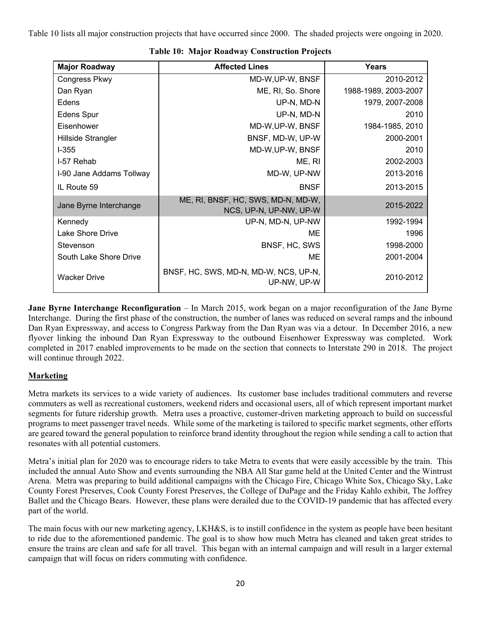Table 10 lists all major construction projects that have occurred since 2000. The shaded projects were ongoing in 2020.

| <b>Major Roadway</b>     | <b>Affected Lines</b>                                        | Years                |
|--------------------------|--------------------------------------------------------------|----------------------|
| <b>Congress Pkwy</b>     | MD-W, UP-W, BNSF                                             | 2010-2012            |
| Dan Ryan                 | ME, RI, So. Shore                                            | 1988-1989, 2003-2007 |
| Edens                    | UP-N, MD-N                                                   | 1979, 2007-2008      |
| <b>Edens Spur</b>        | UP-N, MD-N                                                   | 2010                 |
| Eisenhower               | MD-W, UP-W, BNSF                                             | 1984-1985, 2010      |
| Hillside Strangler       | BNSF, MD-W, UP-W                                             | 2000-2001            |
| $I-355$                  | MD-W, UP-W, BNSF                                             | 2010                 |
| I-57 Rehab               | ME, RI                                                       | 2002-2003            |
| I-90 Jane Addams Tollway | MD-W, UP-NW                                                  | 2013-2016            |
| IL Route 59              | <b>BNSF</b>                                                  | 2013-2015            |
| Jane Byrne Interchange   | ME, RI, BNSF, HC, SWS, MD-N, MD-W,<br>NCS, UP-N, UP-NW, UP-W | 2015-2022            |
| Kennedy                  | UP-N, MD-N, UP-NW                                            | 1992-1994            |
| Lake Shore Drive         | ME                                                           | 1996                 |
| Stevenson                | BNSF, HC, SWS                                                | 1998-2000            |
| South Lake Shore Drive   | ME                                                           | 2001-2004            |
| <b>Wacker Drive</b>      | BNSF, HC, SWS, MD-N, MD-W, NCS, UP-N,<br>UP-NW, UP-W         | 2010-2012            |

|  |  |  | <b>Table 10: Major Roadway Construction Projects</b> |  |
|--|--|--|------------------------------------------------------|--|
|--|--|--|------------------------------------------------------|--|

**Jane Byrne Interchange Reconfiguration** – In March 2015, work began on a major reconfiguration of the Jane Byrne Interchange. During the first phase of the construction, the number of lanes was reduced on several ramps and the inbound Dan Ryan Expressway, and access to Congress Parkway from the Dan Ryan was via a detour. In December 2016, a new flyover linking the inbound Dan Ryan Expressway to the outbound Eisenhower Expressway was completed. Work completed in 2017 enabled improvements to be made on the section that connects to Interstate 290 in 2018. The project will continue through 2022.

# **Marketing**

Metra markets its services to a wide variety of audiences. Its customer base includes traditional commuters and reverse commuters as well as recreational customers, weekend riders and occasional users, all of which represent important market segments for future ridership growth. Metra uses a proactive, customer-driven marketing approach to build on successful programs to meet passenger travel needs. While some of the marketing is tailored to specific market segments, other efforts are geared toward the general population to reinforce brand identity throughout the region while sending a call to action that resonates with all potential customers.

Metra's initial plan for 2020 was to encourage riders to take Metra to events that were easily accessible by the train. This included the annual Auto Show and events surrounding the NBA All Star game held at the United Center and the Wintrust Arena. Metra was preparing to build additional campaigns with the Chicago Fire, Chicago White Sox, Chicago Sky, Lake County Forest Preserves, Cook County Forest Preserves, the College of DuPage and the Friday Kahlo exhibit, The Joffrey Ballet and the Chicago Bears. However, these plans were derailed due to the COVID-19 pandemic that has affected every part of the world.

The main focus with our new marketing agency, LKH&S, is to instill confidence in the system as people have been hesitant to ride due to the aforementioned pandemic. The goal is to show how much Metra has cleaned and taken great strides to ensure the trains are clean and safe for all travel. This began with an internal campaign and will result in a larger external campaign that will focus on riders commuting with confidence.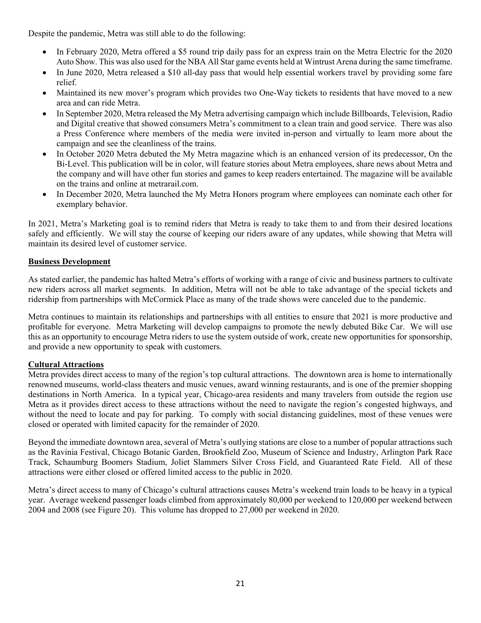Despite the pandemic, Metra was still able to do the following:

- In February 2020, Metra offered a \$5 round trip daily pass for an express train on the Metra Electric for the 2020 Auto Show. This was also used for the NBA All Star game events held at Wintrust Arena during the same timeframe.
- In June 2020, Metra released a \$10 all-day pass that would help essential workers travel by providing some fare relief.
- Maintained its new mover's program which provides two One-Way tickets to residents that have moved to a new area and can ride Metra.
- In September 2020, Metra released the My Metra advertising campaign which include Billboards, Television, Radio and Digital creative that showed consumers Metra's commitment to a clean train and good service. There was also a Press Conference where members of the media were invited in-person and virtually to learn more about the campaign and see the cleanliness of the trains.
- In October 2020 Metra debuted the My Metra magazine which is an enhanced version of its predecessor, On the Bi-Level. This publication will be in color, will feature stories about Metra employees, share news about Metra and the company and will have other fun stories and games to keep readers entertained. The magazine will be available on the trains and online at metrarail.com.
- In December 2020, Metra launched the My Metra Honors program where employees can nominate each other for exemplary behavior.

In 2021, Metra's Marketing goal is to remind riders that Metra is ready to take them to and from their desired locations safely and efficiently. We will stay the course of keeping our riders aware of any updates, while showing that Metra will maintain its desired level of customer service.

# **Business Development**

As stated earlier, the pandemic has halted Metra's efforts of working with a range of civic and business partners to cultivate new riders across all market segments. In addition, Metra will not be able to take advantage of the special tickets and ridership from partnerships with McCormick Place as many of the trade shows were canceled due to the pandemic.

Metra continues to maintain its relationships and partnerships with all entities to ensure that 2021 is more productive and profitable for everyone. Metra Marketing will develop campaigns to promote the newly debuted Bike Car. We will use this as an opportunity to encourage Metra riders to use the system outside of work, create new opportunities for sponsorship, and provide a new opportunity to speak with customers.

#### **Cultural Attractions**

Metra provides direct access to many of the region's top cultural attractions. The downtown area is home to internationally renowned museums, world-class theaters and music venues, award winning restaurants, and is one of the premier shopping destinations in North America. In a typical year, Chicago-area residents and many travelers from outside the region use Metra as it provides direct access to these attractions without the need to navigate the region's congested highways, and without the need to locate and pay for parking. To comply with social distancing guidelines, most of these venues were closed or operated with limited capacity for the remainder of 2020.

Beyond the immediate downtown area, several of Metra's outlying stations are close to a number of popular attractions such as the Ravinia Festival, Chicago Botanic Garden, Brookfield Zoo, Museum of Science and Industry, Arlington Park Race Track, Schaumburg Boomers Stadium, Joliet Slammers Silver Cross Field, and Guaranteed Rate Field. All of these attractions were either closed or offered limited access to the public in 2020.

Metra's direct access to many of Chicago's cultural attractions causes Metra's weekend train loads to be heavy in a typical year. Average weekend passenger loads climbed from approximately 80,000 per weekend to 120,000 per weekend between 2004 and 2008 (see Figure 20). This volume has dropped to 27,000 per weekend in 2020.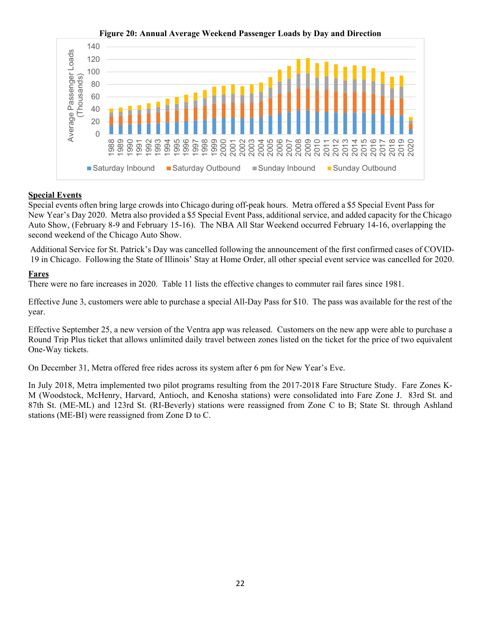

# **Figure 20: Annual Average Weekend Passenger Loads by Day and Direction**

## **Special Events**

Special events often bring large crowds into Chicago during off-peak hours. Metra offered a \$5 Special Event Pass for New Year's Day 2020. Metra also provided a \$5 Special Event Pass, additional service, and added capacity for the Chicago Auto Show, (February 8-9 and February 15-16). The NBA All Star Weekend occurred February 14-16, overlapping the second weekend of the Chicago Auto Show.

Additional Service for St. Patrick's Day was cancelled following the announcement of the first confirmed cases of COVID-19 in Chicago. Following the State of Illinois' Stay at Home Order, all other special event service was cancelled for 2020.

#### **Fares**

There were no fare increases in 2020. Table 11 lists the effective changes to commuter rail fares since 1981.

Effective June 3, customers were able to purchase a special All-Day Pass for \$10. The pass was available for the rest of the year.

Effective September 25, a new version of the Ventra app was released. Customers on the new app were able to purchase a Round Trip Plus ticket that allows unlimited daily travel between zones listed on the ticket for the price of two equivalent One-Way tickets.

On December 31, Metra offered free rides across its system after 6 pm for New Year's Eve.

In July 2018, Metra implemented two pilot programs resulting from the 2017-2018 Fare Structure Study. Fare Zones K-M (Woodstock, McHenry, Harvard, Antioch, and Kenosha stations) were consolidated into Fare Zone J. 83rd St. and 87th St. (ME-ML) and 123rd St. (RI-Beverly) stations were reassigned from Zone C to B; State St. through Ashland stations (ME-BI) were reassigned from Zone D to C.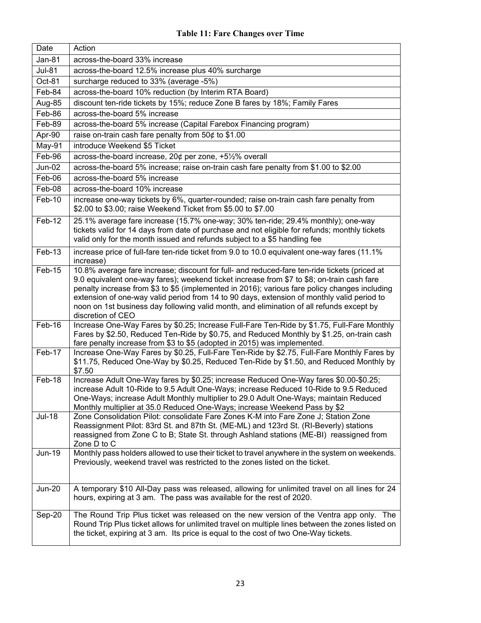| Date          | Action                                                                                                                                                                                                                                                                                                                                                                                                                                                                                                     |
|---------------|------------------------------------------------------------------------------------------------------------------------------------------------------------------------------------------------------------------------------------------------------------------------------------------------------------------------------------------------------------------------------------------------------------------------------------------------------------------------------------------------------------|
| <b>Jan-81</b> | across-the-board 33% increase                                                                                                                                                                                                                                                                                                                                                                                                                                                                              |
| <b>Jul-81</b> | across-the-board 12.5% increase plus 40% surcharge                                                                                                                                                                                                                                                                                                                                                                                                                                                         |
| Oct-81        | surcharge reduced to 33% (average -5%)                                                                                                                                                                                                                                                                                                                                                                                                                                                                     |
| Feb-84        | across-the-board 10% reduction (by Interim RTA Board)                                                                                                                                                                                                                                                                                                                                                                                                                                                      |
| Aug-85        | discount ten-ride tickets by 15%; reduce Zone B fares by 18%; Family Fares                                                                                                                                                                                                                                                                                                                                                                                                                                 |
| Feb-86        | across-the-board 5% increase                                                                                                                                                                                                                                                                                                                                                                                                                                                                               |
| Feb-89        | across-the-board 5% increase (Capital Farebox Financing program)                                                                                                                                                                                                                                                                                                                                                                                                                                           |
| Apr-90        | raise on-train cash fare penalty from $50¢$ to \$1.00                                                                                                                                                                                                                                                                                                                                                                                                                                                      |
| May-91        | introduce Weekend \$5 Ticket                                                                                                                                                                                                                                                                                                                                                                                                                                                                               |
| Feb-96        | across-the-board increase, $20¢$ per zone, +5 $\frac{1}{2}\%$ overall                                                                                                                                                                                                                                                                                                                                                                                                                                      |
| <b>Jun-02</b> | across-the-board 5% increase; raise on-train cash fare penalty from \$1.00 to \$2.00                                                                                                                                                                                                                                                                                                                                                                                                                       |
| Feb-06        | across-the-board 5% increase                                                                                                                                                                                                                                                                                                                                                                                                                                                                               |
| Feb-08        | across-the-board 10% increase                                                                                                                                                                                                                                                                                                                                                                                                                                                                              |
| Feb-10        | increase one-way tickets by 6%, quarter-rounded; raise on-train cash fare penalty from<br>\$2.00 to \$3.00; raise Weekend Ticket from \$5.00 to \$7.00                                                                                                                                                                                                                                                                                                                                                     |
| Feb-12        | 25.1% average fare increase (15.7% one-way; 30% ten-ride; 29.4% monthly); one-way<br>tickets valid for 14 days from date of purchase and not eligible for refunds; monthly tickets<br>valid only for the month issued and refunds subject to a \$5 handling fee                                                                                                                                                                                                                                            |
| $Feb-13$      | increase price of full-fare ten-ride ticket from 9.0 to 10.0 equivalent one-way fares (11.1%<br>increase)                                                                                                                                                                                                                                                                                                                                                                                                  |
| Feb-15        | 10.8% average fare increase; discount for full- and reduced-fare ten-ride tickets (priced at<br>9.0 equivalent one-way fares); weekend ticket increase from \$7 to \$8; on-train cash fare<br>penalty increase from \$3 to \$5 (implemented in 2016); various fare policy changes including<br>extension of one-way valid period from 14 to 90 days, extension of monthly valid period to<br>noon on 1st business day following valid month, and elimination of all refunds except by<br>discretion of CEO |
| Feb-16        | Increase One-Way Fares by \$0.25; Increase Full-Fare Ten-Ride by \$1.75, Full-Fare Monthly<br>Fares by \$2.50, Reduced Ten-Ride by \$0.75, and Reduced Monthly by \$1.25, on-train cash<br>fare penalty increase from \$3 to \$5 (adopted in 2015) was implemented.                                                                                                                                                                                                                                        |
| Feb-17        | Increase One-Way Fares by \$0.25, Full-Fare Ten-Ride by \$2.75, Full-Fare Monthly Fares by<br>\$11.75, Reduced One-Way by \$0.25, Reduced Ten-Ride by \$1.50, and Reduced Monthly by<br>\$7.50                                                                                                                                                                                                                                                                                                             |
| Feb-18        | Increase Adult One-Way fares by \$0.25; increase Reduced One-Way fares \$0.00-\$0.25;<br>increase Adult 10-Ride to 9.5 Adult One-Ways; increase Reduced 10-Ride to 9.5 Reduced<br>One-Ways; increase Adult Monthly multiplier to 29.0 Adult One-Ways; maintain Reduced<br>Monthly multiplier at 35.0 Reduced One-Ways; increase Weekend Pass by \$2                                                                                                                                                        |
| <b>Jul-18</b> | Zone Consolidation Pilot: consolidate Fare Zones K-M into Fare Zone J; Station Zone<br>Reassignment Pilot: 83rd St. and 87th St. (ME-ML) and 123rd St. (RI-Beverly) stations<br>reassigned from Zone C to B; State St. through Ashland stations (ME-BI) reassigned from<br>Zone D to C                                                                                                                                                                                                                     |
| <b>Jun-19</b> | Monthly pass holders allowed to use their ticket to travel anywhere in the system on weekends.<br>Previously, weekend travel was restricted to the zones listed on the ticket.                                                                                                                                                                                                                                                                                                                             |
| <b>Jun-20</b> | A temporary \$10 All-Day pass was released, allowing for unlimited travel on all lines for 24<br>hours, expiring at 3 am. The pass was available for the rest of 2020.                                                                                                                                                                                                                                                                                                                                     |
| Sep-20        | The Round Trip Plus ticket was released on the new version of the Ventra app only. The<br>Round Trip Plus ticket allows for unlimited travel on multiple lines between the zones listed on<br>the ticket, expiring at 3 am. Its price is equal to the cost of two One-Way tickets.                                                                                                                                                                                                                         |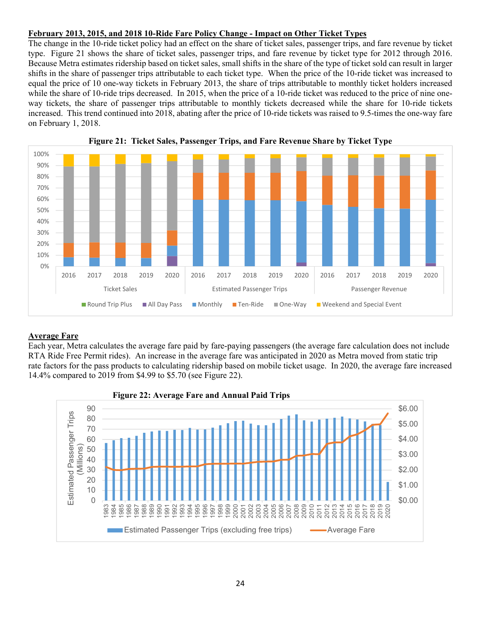## **February 2013, 2015, and 2018 10-Ride Fare Policy Change - Impact on Other Ticket Types**

The change in the 10-ride ticket policy had an effect on the share of ticket sales, passenger trips, and fare revenue by ticket type. Figure 21 shows the share of ticket sales, passenger trips, and fare revenue by ticket type for 2012 through 2016. Because Metra estimates ridership based on ticket sales, small shifts in the share of the type of ticket sold can result in larger shifts in the share of passenger trips attributable to each ticket type. When the price of the 10-ride ticket was increased to equal the price of 10 one-way tickets in February 2013, the share of trips attributable to monthly ticket holders increased while the share of 10-ride trips decreased. In 2015, when the price of a 10-ride ticket was reduced to the price of nine oneway tickets, the share of passenger trips attributable to monthly tickets decreased while the share for 10-ride tickets increased. This trend continued into 2018, abating after the price of 10-ride tickets was raised to 9.5-times the one-way fare on February 1, 2018.





# **Average Fare**

Each year, Metra calculates the average fare paid by fare-paying passengers (the average fare calculation does not include RTA Ride Free Permit rides). An increase in the average fare was anticipated in 2020 as Metra moved from static trip rate factors for the pass products to calculating ridership based on mobile ticket usage. In 2020, the average fare increased 14.4% compared to 2019 from \$4.99 to \$5.70 (see Figure 22).



**Figure 22: Average Fare and Annual Paid Trips**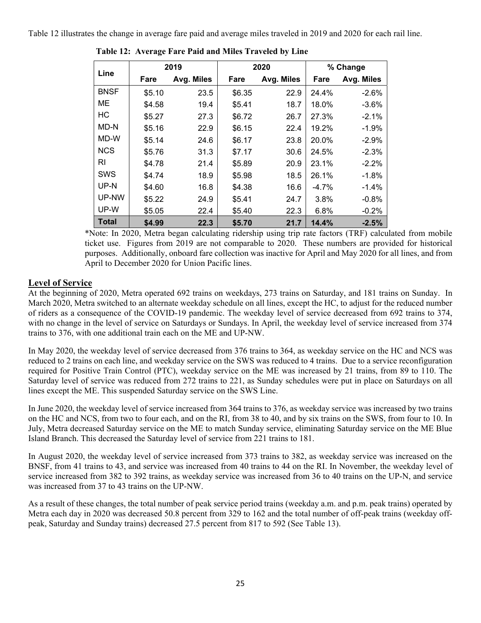Table 12 illustrates the change in average fare paid and average miles traveled in 2019 and 2020 for each rail line.

| Line         |        | 2019       |        | 2020       | % Change |            |  |
|--------------|--------|------------|--------|------------|----------|------------|--|
|              | Fare   | Avg. Miles | Fare   | Avg. Miles | Fare     | Avg. Miles |  |
| <b>BNSF</b>  | \$5.10 | 23.5       | \$6.35 | 22.9       | 24.4%    | $-2.6%$    |  |
| МE           | \$4.58 | 19.4       | \$5.41 | 18.7       | 18.0%    | $-3.6%$    |  |
| HC           | \$5.27 | 27.3       | \$6.72 | 26.7       | 27.3%    | $-2.1%$    |  |
| MD-N         | \$5.16 | 22.9       | \$6.15 | 22.4       | 19.2%    | $-1.9%$    |  |
| MD-W         | \$5.14 | 24.6       | \$6.17 | 23.8       | 20.0%    | $-2.9%$    |  |
| <b>NCS</b>   | \$5.76 | 31.3       | \$7.17 | 30.6       | 24.5%    | $-2.3%$    |  |
| RI           | \$4.78 | 21.4       | \$5.89 | 20.9       | 23.1%    | $-2.2%$    |  |
| <b>SWS</b>   | \$4.74 | 18.9       | \$5.98 | 18.5       | 26.1%    | $-1.8%$    |  |
| UP-N         | \$4.60 | 16.8       | \$4.38 | 16.6       | $-4.7%$  | $-1.4%$    |  |
| UP-NW        | \$5.22 | 24.9       | \$5.41 | 24.7       | 3.8%     | $-0.8%$    |  |
| UP-W         | \$5.05 | 22.4       | \$5.40 | 22.3       | 6.8%     | $-0.2%$    |  |
| <b>Total</b> | \$4.99 | 22.3       | \$5.70 | 21.7       | 14.4%    | $-2.5%$    |  |

**Table 12: Average Fare Paid and Miles Traveled by Line** 

\*Note: In 2020, Metra began calculating ridership using trip rate factors (TRF) calculated from mobile ticket use. Figures from 2019 are not comparable to 2020. These numbers are provided for historical purposes. Additionally, onboard fare collection was inactive for April and May 2020 for all lines, and from April to December 2020 for Union Pacific lines.

# **Level of Service**

At the beginning of 2020, Metra operated 692 trains on weekdays, 273 trains on Saturday, and 181 trains on Sunday. In March 2020, Metra switched to an alternate weekday schedule on all lines, except the HC, to adjust for the reduced number of riders as a consequence of the COVID-19 pandemic. The weekday level of service decreased from 692 trains to 374, with no change in the level of service on Saturdays or Sundays. In April, the weekday level of service increased from 374 trains to 376, with one additional train each on the ME and UP-NW.

In May 2020, the weekday level of service decreased from 376 trains to 364, as weekday service on the HC and NCS was reduced to 2 trains on each line, and weekday service on the SWS was reduced to 4 trains. Due to a service reconfiguration required for Positive Train Control (PTC), weekday service on the ME was increased by 21 trains, from 89 to 110. The Saturday level of service was reduced from 272 trains to 221, as Sunday schedules were put in place on Saturdays on all lines except the ME. This suspended Saturday service on the SWS Line.

In June 2020, the weekday level of service increased from 364 trains to 376, as weekday service was increased by two trains on the HC and NCS, from two to four each, and on the RI, from 38 to 40, and by six trains on the SWS, from four to 10. In July, Metra decreased Saturday service on the ME to match Sunday service, eliminating Saturday service on the ME Blue Island Branch. This decreased the Saturday level of service from 221 trains to 181.

In August 2020, the weekday level of service increased from 373 trains to 382, as weekday service was increased on the BNSF, from 41 trains to 43, and service was increased from 40 trains to 44 on the RI. In November, the weekday level of service increased from 382 to 392 trains, as weekday service was increased from 36 to 40 trains on the UP-N, and service was increased from 37 to 43 trains on the UP-NW.

As a result of these changes, the total number of peak service period trains (weekday a.m. and p.m. peak trains) operated by Metra each day in 2020 was decreased 50.8 percent from 329 to 162 and the total number of off-peak trains (weekday offpeak, Saturday and Sunday trains) decreased 27.5 percent from 817 to 592 (See Table 13).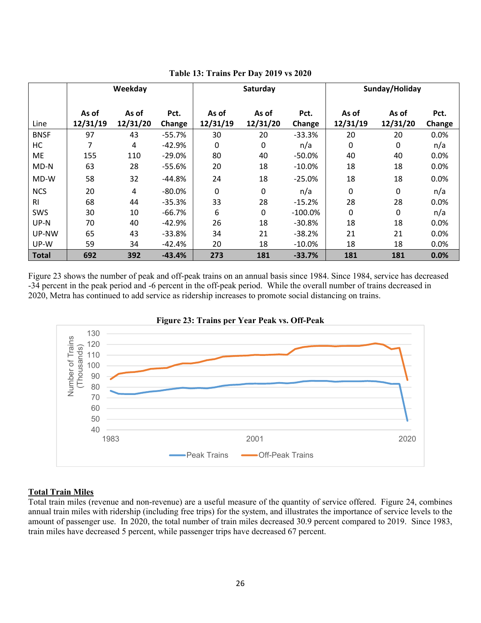|                | Weekday           |                   |                |                   | Saturday          |                | Sunday/Holiday    |                   |                |
|----------------|-------------------|-------------------|----------------|-------------------|-------------------|----------------|-------------------|-------------------|----------------|
| Line           | As of<br>12/31/19 | As of<br>12/31/20 | Pct.<br>Change | As of<br>12/31/19 | As of<br>12/31/20 | Pct.<br>Change | As of<br>12/31/19 | As of<br>12/31/20 | Pct.<br>Change |
| <b>BNSF</b>    | 97                | 43                | $-55.7%$       | 30                | 20                | $-33.3%$       | 20                | 20                | 0.0%           |
| HC             | 7                 | 4                 | $-42.9%$       | 0                 | 0                 | n/a            | $\mathbf 0$       | 0                 | n/a            |
| <b>ME</b>      | 155               | 110               | $-29.0%$       | 80                | 40                | $-50.0\%$      | 40                | 40                | 0.0%           |
| MD-N           | 63                | 28                | -55.6%         | 20                | 18                | $-10.0\%$      | 18                | 18                | 0.0%           |
| MD-W           | 58                | 32                | $-44.8%$       | 24                | 18                | $-25.0%$       | 18                | 18                | 0.0%           |
| <b>NCS</b>     | 20                | 4                 | $-80.0\%$      | $\mathbf 0$       | $\mathbf 0$       | n/a            | 0                 | 0                 | n/a            |
| R <sub>1</sub> | 68                | 44                | $-35.3%$       | 33                | 28                | $-15.2%$       | 28                | 28                | 0.0%           |
| SWS            | 30                | 10                | $-66.7%$       | 6                 | $\mathbf 0$       | $-100.0\%$     | $\mathbf 0$       | 0                 | n/a            |
| UP-N           | 70                | 40                | $-42.9%$       | 26                | 18                | $-30.8%$       | 18                | 18                | 0.0%           |
| UP-NW          | 65                | 43                | $-33.8%$       | 34                | 21                | $-38.2%$       | 21                | 21                | 0.0%           |
| UP-W           | 59                | 34                | -42.4%         | 20                | 18                | $-10.0\%$      | 18                | 18                | 0.0%           |
| <b>Total</b>   | 692               | 392               | $-43.4%$       | 273               | 181               | $-33.7%$       | 181               | 181               | 0.0%           |

**Table 13: Trains Per Day 2019 vs 2020** 

Figure 23 shows the number of peak and off-peak trains on an annual basis since 1984. Since 1984, service has decreased -34 percent in the peak period and -6 percent in the off-peak period. While the overall number of trains decreased in 2020, Metra has continued to add service as ridership increases to promote social distancing on trains.





#### **Total Train Miles**

Total train miles (revenue and non-revenue) are a useful measure of the quantity of service offered. Figure 24, combines annual train miles with ridership (including free trips) for the system, and illustrates the importance of service levels to the amount of passenger use. In 2020, the total number of train miles decreased 30.9 percent compared to 2019. Since 1983, train miles have decreased 5 percent, while passenger trips have decreased 67 percent.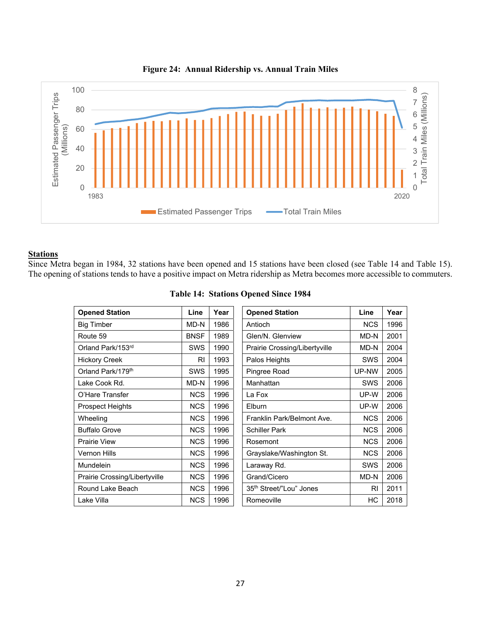

#### **Figure 24: Annual Ridership vs. Annual Train Miles**

# **Stations**

Since Metra began in 1984, 32 stations have been opened and 15 stations have been closed (see Table 14 and Table 15). The opening of stations tends to have a positive impact on Metra ridership as Metra becomes more accessible to commuters.

| <b>Opened Station</b>         | Line        | Year | <b>Opened Station</b>               | Line       | Year |
|-------------------------------|-------------|------|-------------------------------------|------------|------|
| <b>Big Timber</b>             | MD-N        | 1986 | Antioch                             | <b>NCS</b> | 1996 |
| Route 59                      | <b>BNSF</b> | 1989 | Glen/N. Glenview                    | MD-N       | 2001 |
| Orland Park/153rd             | SWS         | 1990 | Prairie Crossing/Libertyville       | MD-N       | 2004 |
| <b>Hickory Creek</b>          | <b>RI</b>   | 1993 | Palos Heights                       | <b>SWS</b> | 2004 |
| Orland Park/179 <sup>th</sup> | SWS         | 1995 | Pingree Road                        | UP-NW      | 2005 |
| Lake Cook Rd.                 | MD-N        | 1996 | Manhattan                           | SWS        | 2006 |
| O'Hare Transfer               | <b>NCS</b>  | 1996 | La Fox                              | UP-W       | 2006 |
| <b>Prospect Heights</b>       | <b>NCS</b>  | 1996 | Elburn                              | UP-W       | 2006 |
| Wheeling                      | <b>NCS</b>  | 1996 | Franklin Park/Belmont Ave.          | <b>NCS</b> | 2006 |
| <b>Buffalo Grove</b>          | <b>NCS</b>  | 1996 | <b>Schiller Park</b>                | <b>NCS</b> | 2006 |
| <b>Prairie View</b>           | <b>NCS</b>  | 1996 | Rosemont                            | <b>NCS</b> | 2006 |
| <b>Vernon Hills</b>           | <b>NCS</b>  | 1996 | Grayslake/Washington St.            | <b>NCS</b> | 2006 |
| <b>Mundelein</b>              | <b>NCS</b>  | 1996 | Laraway Rd.                         | SWS        | 2006 |
| Prairie Crossing/Libertyville | <b>NCS</b>  | 1996 | Grand/Cicero                        | MD-N       | 2006 |
| Round Lake Beach              | <b>NCS</b>  | 1996 | 35 <sup>th</sup> Street/"Lou" Jones | RI         | 2011 |
| Lake Villa                    | <b>NCS</b>  | 1996 | Romeoville                          | НC         | 2018 |

| <b>Table 14: Stations Opened Since 1984</b> |  |  |
|---------------------------------------------|--|--|
|                                             |  |  |

| <b>Opened Station</b>               | Line       | Year |
|-------------------------------------|------------|------|
| Antioch                             | <b>NCS</b> | 1996 |
| Glen/N. Glenview                    | MD-N       | 2001 |
| Prairie Crossing/Libertyville       | MD-N       | 2004 |
| Palos Heights                       | SWS        | 2004 |
| Pingree Road                        | UP-NW      | 2005 |
| Manhattan                           | <b>SWS</b> | 2006 |
| La Fox                              | UP-W       | 2006 |
| Flburn                              | UP-W       | 2006 |
| Franklin Park/Belmont Ave.          | <b>NCS</b> | 2006 |
| <b>Schiller Park</b>                | <b>NCS</b> | 2006 |
| Rosemont                            | <b>NCS</b> | 2006 |
| Grayslake/Washington St.            | <b>NCS</b> | 2006 |
| Laraway Rd.                         | <b>SWS</b> | 2006 |
| Grand/Cicero                        | MD-N       | 2006 |
| 35 <sup>th</sup> Street/"Lou" Jones | RI         | 2011 |
| Romeoville                          | НC         | 2018 |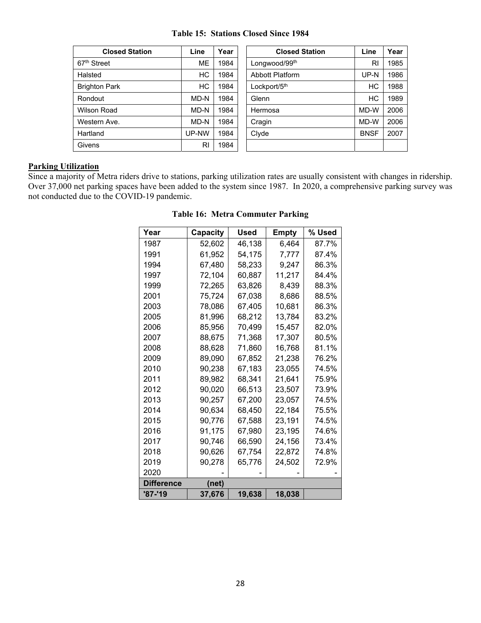| <b>Table 15: Stations Closed Since 1984</b> |  |  |
|---------------------------------------------|--|--|
|                                             |  |  |

| <b>Closed Station</b>   | Line      | Year | <b>Closed Station</b>  | Line        | Year |
|-------------------------|-----------|------|------------------------|-------------|------|
| 67 <sup>th</sup> Street | <b>ME</b> | 1984 | Longwood/99th          | RI          | 1985 |
| Halsted                 | НC        | 1984 | <b>Abbott Platform</b> | UP-N        | 1986 |
| <b>Brighton Park</b>    | HC        | 1984 | Lockport/5th           | HC          | 1988 |
| Rondout                 | MD-N      | 1984 | Glenn                  | HC          | 1989 |
| Wilson Road             | MD-N      | 1984 | Hermosa                | MD-W        | 2006 |
| Western Ave.            | MD-N      | 1984 | Cragin                 | MD-W        | 2006 |
| Hartland                | UP-NW     | 1984 | Clyde                  | <b>BNSF</b> | 2007 |
| <b>Givens</b>           | RI        | 1984 |                        |             |      |

#### **Parking Utilization**

Since a majority of Metra riders drive to stations, parking utilization rates are usually consistent with changes in ridership. Over 37,000 net parking spaces have been added to the system since 1987. In 2020, a comprehensive parking survey was not conducted due to the COVID-19 pandemic.

| Year              | Capacity | Used   | Empty  | % Used |
|-------------------|----------|--------|--------|--------|
| 1987              | 52,602   | 46,138 | 6.464  | 87.7%  |
| 1991              | 61,952   | 54,175 | 7,777  | 87.4%  |
| 1994              | 67,480   | 58,233 | 9,247  | 86.3%  |
| 1997              | 72,104   | 60.887 | 11,217 | 84.4%  |
| 1999              | 72,265   | 63,826 | 8,439  | 88.3%  |
| 2001              | 75,724   | 67,038 | 8.686  | 88.5%  |
| 2003              | 78,086   | 67.405 | 10,681 | 86.3%  |
| 2005              | 81,996   | 68,212 | 13,784 | 83.2%  |
| 2006              | 85,956   | 70,499 | 15,457 | 82.0%  |
| 2007              | 88,675   | 71,368 | 17,307 | 80.5%  |
| 2008              | 88,628   | 71,860 | 16,768 | 81.1%  |
| 2009              | 89,090   | 67,852 | 21,238 | 76.2%  |
| 2010              | 90.238   | 67.183 | 23.055 | 74.5%  |
| 2011              | 89,982   | 68,341 | 21,641 | 75.9%  |
| 2012              | 90,020   | 66,513 | 23,507 | 73.9%  |
| 2013              | 90,257   | 67,200 | 23,057 | 74.5%  |
| 2014              | 90.634   | 68,450 | 22,184 | 75.5%  |
| 2015              | 90,776   | 67,588 | 23,191 | 74.5%  |
| 2016              | 91,175   | 67.980 | 23,195 | 74.6%  |
| 2017              | 90,746   | 66.590 | 24,156 | 73.4%  |
| 2018              | 90,626   | 67,754 | 22,872 | 74.8%  |
| 2019              | 90,278   | 65,776 | 24.502 | 72.9%  |
| 2020              |          |        |        |        |
| <b>Difference</b> | (net)    |        |        |        |
| '87-'19           | 37,676   | 19,638 | 18,038 |        |

**Table 16: Metra Commuter Parking**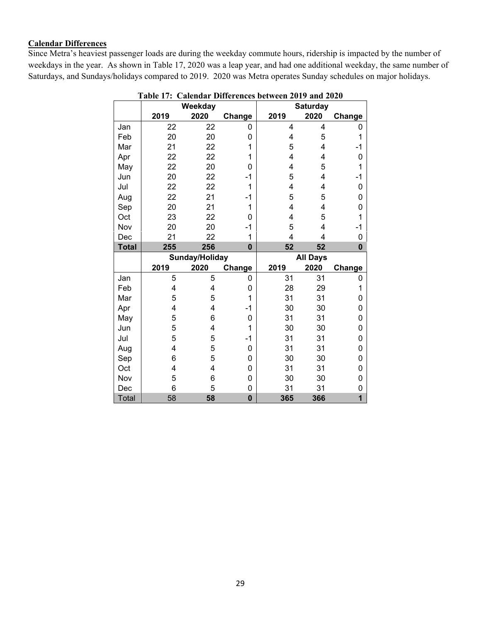# **Calendar Differences**

Since Metra's heaviest passenger loads are during the weekday commute hours, ridership is impacted by the number of weekdays in the year. As shown in Table 17, 2020 was a leap year, and had one additional weekday, the same number of Saturdays, and Sundays/holidays compared to 2019. 2020 was Metra operates Sunday schedules on major holidays.

|              |         | Weekday        |                  | <b>Saturday</b> |      |                              |  |
|--------------|---------|----------------|------------------|-----------------|------|------------------------------|--|
|              | 2019    | 2020           | Change           | 2019            | 2020 | Change                       |  |
| Jan          | 22      | 22             | 0                | 4               | 4    | 0                            |  |
| Feb          | 20      | 20             | 0                | 4               | 5    | 1                            |  |
| Mar          | 21      | 22             | 1                | 5               | 4    | -1                           |  |
| Apr          | 22      | 22             | 1                | 4               | 4    | $\mathbf 0$                  |  |
| May          | 22      | 20             | 0                | 4               | 5    | 1                            |  |
| Jun          | 20      | 22             | $-1$             | 5               | 4    | $-1$                         |  |
| Jul          | 22      | 22             | 1                | 4               | 4    | 0                            |  |
| Aug          | 22      | 21             | -1               | 5               | 5    | 0                            |  |
| Sep          | 20      | 21             | 1                | 4               | 4    | 0                            |  |
| Oct          | 23      | 22             | 0                | 4               | 5    | 1                            |  |
| Nov          | 20      | 20             | $-1$             | 5               | 4    | -1                           |  |
| Dec          | 21      | 22             | 1                | 4               | 4    | 0                            |  |
| <b>Total</b> | 255     | 256            | $\bf{0}$         | 52              | 52   | $\bf{0}$                     |  |
|              |         | Sunday/Holiday |                  | <b>All Days</b> |      |                              |  |
|              | 2019    | 2020           | Change           | 2019            | 2020 | Change                       |  |
| Jan          |         |                |                  |                 |      |                              |  |
|              | 5       | 5              | 0                | 31              | 31   | 0                            |  |
| Feb          | 4       | $\overline{4}$ | 0                | 28              | 29   | 1                            |  |
| Mar          | 5       | 5              | 1                | 31              | 31   | 0                            |  |
| Apr          | 4       | 4              | $-1$             | 30              | 30   | $\mathbf 0$                  |  |
| May          | 5       | 6              | 0                | 31              | 31   | 0                            |  |
| Jun          | 5       | 4              | 1                | 30              | 30   | $\mathbf 0$                  |  |
| Jul          | 5       | 5              | $-1$             | 31              | 31   | 0                            |  |
| Aug          | 4       | 5              | 0                | 31              | 31   | 0                            |  |
| Sep          | 6       | 5              | 0                | 30              | 30   | $\mathbf 0$                  |  |
| Oct          | 4       | 4              | 0                | 31              | 31   | 0                            |  |
| Nov          | 5       | 6              | 0                | 30              | 30   | 0                            |  |
| Dec<br>Total | 6<br>58 | 5<br>58        | 0<br>$\mathbf 0$ | 31<br>365       | 31   | 0<br>$\overline{\mathbf{1}}$ |  |

**Table 17: Calendar Differences between 2019 and 2020**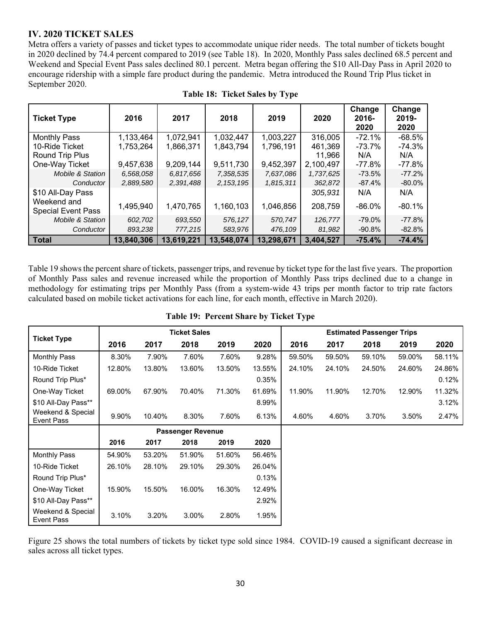# **IV. 2020 TICKET SALES**

Metra offers a variety of passes and ticket types to accommodate unique rider needs. The total number of tickets bought in 2020 declined by 74.4 percent compared to 2019 (see Table 18). In 2020, Monthly Pass sales declined 68.5 percent and Weekend and Special Event Pass sales declined 80.1 percent. Metra began offering the \$10 All-Day Pass in April 2020 to encourage ridership with a simple fare product during the pandemic. Metra introduced the Round Trip Plus ticket in September 2020.

| <b>Ticket Type</b>                       | 2016       | 2017       | 2018        | 2019       | 2020      | Change<br>2016-<br>2020 | Change<br>2019-<br>2020 |
|------------------------------------------|------------|------------|-------------|------------|-----------|-------------------------|-------------------------|
| <b>Monthly Pass</b>                      | 1,133,464  | 1,072,941  | 1,032,447   | 1,003,227  | 316,005   | $-72.1%$                | $-68.5%$                |
| 10-Ride Ticket                           | 1,753,264  | 1,866,371  | 1,843,794   | 1,796,191  | 461,369   | -73.7%                  | -74.3%                  |
| Round Trip Plus                          |            |            |             |            | 11,966    | N/A                     | N/A                     |
| One-Way Ticket                           | 9,457,638  | 9,209,144  | 9,511,730   | 9,452,397  | 2,100,497 | -77.8%                  | -77.8%                  |
| <b>Mobile &amp; Station</b>              | 6,568,058  | 6.817.656  | 7,358,535   | 7,637,086  | 1,737,625 | $-73.5%$                | $-77.2%$                |
| Conductor                                | 2,889,580  | 2,391,488  | 2, 153, 195 | 1,815,311  | 362,872   | $-87.4%$                | $-80.0\%$               |
| \$10 All-Day Pass                        |            |            |             |            | 305,931   | N/A                     | N/A                     |
| Weekend and<br><b>Special Event Pass</b> | 1,495,940  | 1,470,765  | 1,160,103   | 1,046,856  | 208,759   | $-86.0\%$               | $-80.1%$                |
| Mobile & Station                         | 602,702    | 693,550    | 576.127     | 570.747    | 126,777   | $-79.0\%$               | $-77.8%$                |
| Conductor                                | 893,238    | 777,215    | 583,976     | 476,109    | 81,982    | $-90.8\%$               | $-82.8\%$               |
| Total                                    | 13,840,306 | 13,619,221 | 13,548,074  | 13,298,671 | 3,404,527 | $-75.4%$                | $-74.4%$                |

Table 19 shows the percent share of tickets, passenger trips, and revenue by ticket type for the last five years. The proportion of Monthly Pass sales and revenue increased while the proportion of Monthly Pass trips declined due to a change in methodology for estimating trips per Monthly Pass (from a system-wide 43 trips per month factor to trip rate factors calculated based on mobile ticket activations for each line, for each month, effective in March 2020).

|                                 | <b>Ticket Sales</b> |                          |        |        | <b>Estimated Passenger Trips</b> |        |        |        |        |        |
|---------------------------------|---------------------|--------------------------|--------|--------|----------------------------------|--------|--------|--------|--------|--------|
| <b>Ticket Type</b>              | 2016                | 2017                     | 2018   | 2019   | 2020                             | 2016   | 2017   | 2018   | 2019   | 2020   |
| <b>Monthly Pass</b>             | 8.30%               | 7.90%                    | 7.60%  | 7.60%  | 9.28%                            | 59.50% | 59.50% | 59.10% | 59.00% | 58.11% |
| 10-Ride Ticket                  | 12.80%              | 13.80%                   | 13.60% | 13.50% | 13.55%                           | 24.10% | 24.10% | 24.50% | 24.60% | 24.86% |
| Round Trip Plus*                |                     |                          |        |        | 0.35%                            |        |        |        |        | 0.12%  |
| One-Way Ticket                  | 69.00%              | 67.90%                   | 70.40% | 71.30% | 61.69%                           | 11.90% | 11.90% | 12.70% | 12.90% | 11.32% |
| \$10 All-Day Pass**             |                     |                          |        |        | 8.99%                            |        |        |        |        | 3.12%  |
| Weekend & Special<br>Event Pass | 9.90%               | 10.40%                   | 8.30%  | 7.60%  | 6.13%                            | 4.60%  | 4.60%  | 3.70%  | 3.50%  | 2.47%  |
|                                 |                     | <b>Passenger Revenue</b> |        |        |                                  |        |        |        |        |        |
|                                 | 2016                | 2017                     | 2018   | 2019   | 2020                             |        |        |        |        |        |
| <b>Monthly Pass</b>             | 54.90%              | 53.20%                   | 51.90% | 51.60% | 56.46%                           |        |        |        |        |        |
| 10-Ride Ticket                  | 26.10%              | 28.10%                   | 29.10% | 29.30% | 26.04%                           |        |        |        |        |        |
| Round Trip Plus*                |                     |                          |        |        | 0.13%                            |        |        |        |        |        |
| One-Way Ticket                  | 15.90%              | 15.50%                   | 16.00% | 16.30% | 12.49%                           |        |        |        |        |        |
| \$10 All-Day Pass**             |                     |                          |        |        | 2.92%                            |        |        |        |        |        |
| Weekend & Special<br>Event Pass | 3.10%               | 3.20%                    | 3.00%  | 2.80%  | 1.95%                            |        |        |        |        |        |

#### **Table 19: Percent Share by Ticket Type**

Figure 25 shows the total numbers of tickets by ticket type sold since 1984. COVID-19 caused a significant decrease in sales across all ticket types.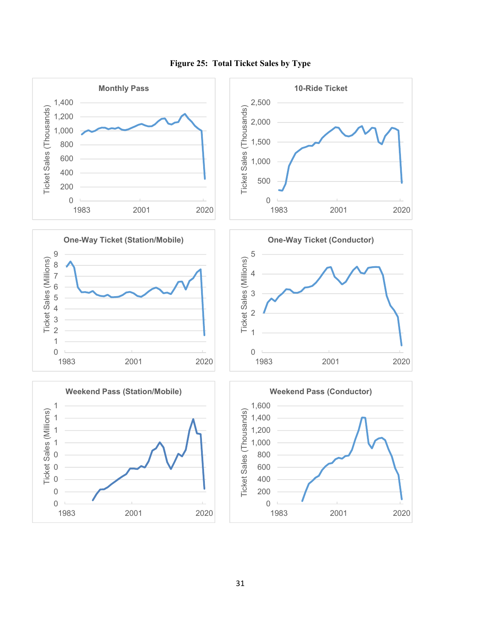

**Figure 25: Total Ticket Sales by Type**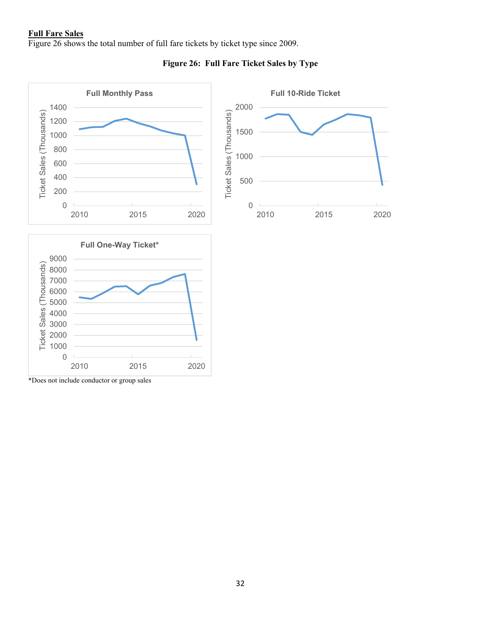#### **Full Fare Sales**

Figure 26 shows the total number of full fare tickets by ticket type since 2009.



# **Figure 26: Full Fare Ticket Sales by Type**

\*Does not include conductor or group sales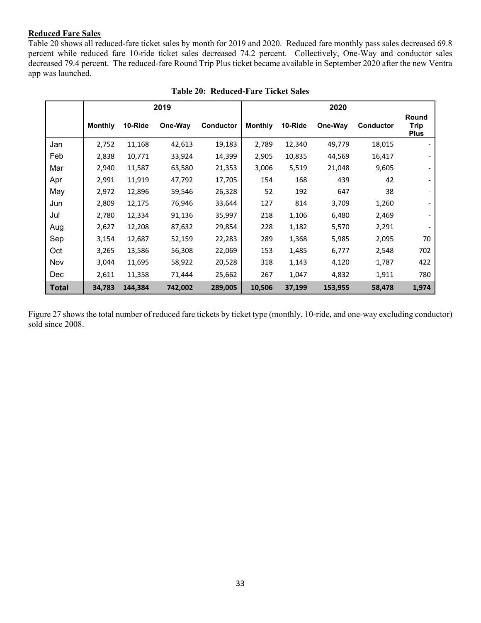#### **Reduced Fare Sales**

Table 20 shows all reduced-fare ticket sales by month for 2019 and 2020. Reduced fare monthly pass sales decreased 69.8 percent while reduced fare 10-ride ticket sales decreased 74.2 percent. Collectively, One-Way and conductor sales decreased 79.4 percent. The reduced-fare Round Trip Plus ticket became available in September 2020 after the new Ventra app was launched.

|              | 2019           |         |         |                  |                |         |         |                  |                                     |
|--------------|----------------|---------|---------|------------------|----------------|---------|---------|------------------|-------------------------------------|
|              | <b>Monthly</b> | 10-Ride | One-Way | <b>Conductor</b> | <b>Monthly</b> | 10-Ride | One-Way | <b>Conductor</b> | Round<br><b>Trip</b><br><b>Plus</b> |
| Jan          | 2,752          | 11,168  | 42,613  | 19,183           | 2,789          | 12,340  | 49,779  | 18,015           |                                     |
| Feb          | 2,838          | 10,771  | 33,924  | 14,399           | 2,905          | 10,835  | 44,569  | 16,417           |                                     |
| Mar          | 2,940          | 11,587  | 63,580  | 21,353           | 3,006          | 5,519   | 21,048  | 9,605            |                                     |
| Apr          | 2,991          | 11,919  | 47,792  | 17,705           | 154            | 168     | 439     | 42               |                                     |
| May          | 2,972          | 12,896  | 59,546  | 26,328           | 52             | 192     | 647     | 38               |                                     |
| Jun          | 2,809          | 12,175  | 76,946  | 33,644           | 127            | 814     | 3,709   | 1,260            |                                     |
| Jul          | 2,780          | 12,334  | 91,136  | 35,997           | 218            | 1,106   | 6,480   | 2,469            |                                     |
| Aug          | 2,627          | 12,208  | 87,632  | 29,854           | 228            | 1,182   | 5,570   | 2,291            |                                     |
| Sep          | 3,154          | 12,687  | 52,159  | 22,283           | 289            | 1,368   | 5,985   | 2,095            | 70                                  |
| Oct          | 3,265          | 13,586  | 56,308  | 22,069           | 153            | 1,485   | 6,777   | 2,548            | 702                                 |
| Nov          | 3,044          | 11,695  | 58,922  | 20,528           | 318            | 1,143   | 4,120   | 1,787            | 422                                 |
| <b>Dec</b>   | 2,611          | 11,358  | 71,444  | 25,662           | 267            | 1,047   | 4,832   | 1,911            | 780                                 |
| <b>Total</b> | 34,783         | 144,384 | 742,002 | 289,005          | 10,506         | 37,199  | 153,955 | 58,478           | 1,974                               |

| <b>Table 20: Reduced-Fare Ticket Sales</b> |  |
|--------------------------------------------|--|
|                                            |  |

Figure 27 shows the total number of reduced fare tickets by ticket type (monthly, 10-ride, and one-way excluding conductor) sold since 2008.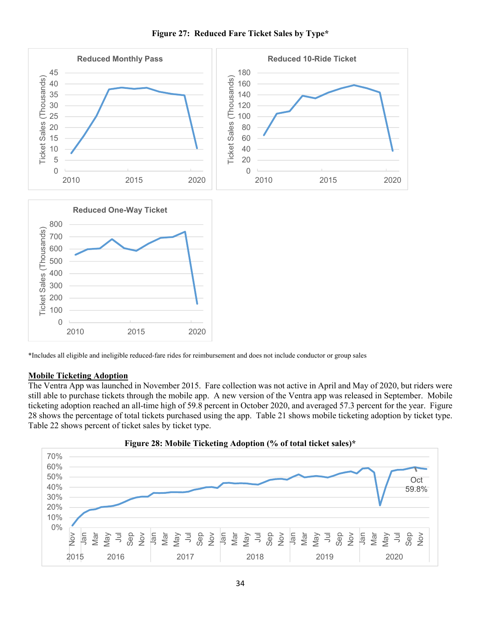

 **Figure 27: Reduced Fare Ticket Sales by Type\*** 

\*Includes all eligible and ineligible reduced-fare rides for reimbursement and does not include conductor or group sales

#### **Mobile Ticketing Adoption**

The Ventra App was launched in November 2015. Fare collection was not active in April and May of 2020, but riders were still able to purchase tickets through the mobile app. A new version of the Ventra app was released in September. Mobile ticketing adoption reached an all-time high of 59.8 percent in October 2020, and averaged 57.3 percent for the year. Figure 28 shows the percentage of total tickets purchased using the app. Table 21 shows mobile ticketing adoption by ticket type. Table 22 shows percent of ticket sales by ticket type.



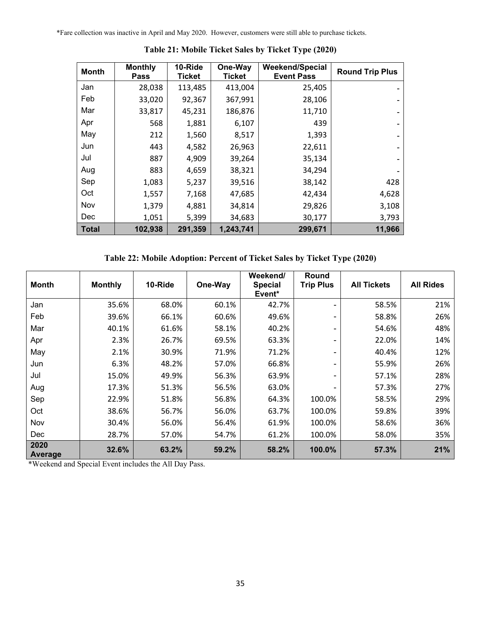\*Fare collection was inactive in April and May 2020. However, customers were still able to purchase tickets.

| <b>Month</b> | <b>Monthly</b><br><b>Pass</b> | 10-Ride<br><b>Ticket</b> | One-Way<br><b>Ticket</b> | Weekend/Special<br><b>Event Pass</b> | <b>Round Trip Plus</b> |
|--------------|-------------------------------|--------------------------|--------------------------|--------------------------------------|------------------------|
| Jan          | 28,038                        | 113,485                  | 413,004                  | 25,405                               |                        |
| Feb          | 33,020                        | 92,367                   | 367,991                  | 28,106                               |                        |
| Mar          | 33,817                        | 45,231                   | 186,876                  | 11,710                               |                        |
| Apr          | 568                           | 1,881                    | 6,107                    | 439                                  |                        |
| May          | 212                           | 1,560                    | 8,517                    | 1,393                                |                        |
| Jun          | 443                           | 4,582                    | 26,963                   | 22,611                               |                        |
| Jul          | 887                           | 4,909                    | 39,264                   | 35,134                               |                        |
| Aug          | 883                           | 4,659                    | 38,321                   | 34,294                               |                        |
| Sep          | 1,083                         | 5,237                    | 39,516                   | 38,142                               | 428                    |
| Oct          | 1,557                         | 7,168                    | 47,685                   | 42,434                               | 4,628                  |
| Nov          | 1,379                         | 4,881                    | 34,814                   | 29,826                               | 3,108                  |
| <b>Dec</b>   | 1,051                         | 5,399                    | 34,683                   | 30,177                               | 3,793                  |
| <b>Total</b> | 102,938                       | 291,359                  | 1,243,741                | 299,671                              | 11,966                 |

**Table 21: Mobile Ticket Sales by Ticket Type (2020)** 

**Table 22: Mobile Adoption: Percent of Ticket Sales by Ticket Type (2020)** 

| <b>Month</b>    | <b>Monthly</b> | 10-Ride | One-Way | Weekend/<br><b>Special</b><br>Event* | Round<br><b>Trip Plus</b> | <b>All Tickets</b> | <b>All Rides</b> |
|-----------------|----------------|---------|---------|--------------------------------------|---------------------------|--------------------|------------------|
| Jan             | 35.6%          | 68.0%   | 60.1%   | 42.7%                                | -                         | 58.5%              | 21%              |
| Feb             | 39.6%          | 66.1%   | 60.6%   | 49.6%                                | ۰.                        | 58.8%              | 26%              |
| Mar             | 40.1%          | 61.6%   | 58.1%   | 40.2%                                | Ξ.                        | 54.6%              | 48%              |
| Apr             | 2.3%           | 26.7%   | 69.5%   | 63.3%                                | -                         | 22.0%              | 14%              |
| May             | 2.1%           | 30.9%   | 71.9%   | 71.2%                                | Ξ.                        | 40.4%              | 12%              |
| Jun             | 6.3%           | 48.2%   | 57.0%   | 66.8%                                | Ξ.                        | 55.9%              | 26%              |
| Jul             | 15.0%          | 49.9%   | 56.3%   | 63.9%                                | Ξ.                        | 57.1%              | 28%              |
| Aug             | 17.3%          | 51.3%   | 56.5%   | 63.0%                                |                           | 57.3%              | 27%              |
| Sep             | 22.9%          | 51.8%   | 56.8%   | 64.3%                                | 100.0%                    | 58.5%              | 29%              |
| Oct             | 38.6%          | 56.7%   | 56.0%   | 63.7%                                | 100.0%                    | 59.8%              | 39%              |
| Nov             | 30.4%          | 56.0%   | 56.4%   | 61.9%                                | 100.0%                    | 58.6%              | 36%              |
| Dec             | 28.7%          | 57.0%   | 54.7%   | 61.2%                                | 100.0%                    | 58.0%              | 35%              |
| 2020<br>Average | 32.6%          | 63.2%   | 59.2%   | 58.2%                                | 100.0%                    | 57.3%              | 21%              |

\*Weekend and Special Event includes the All Day Pass.